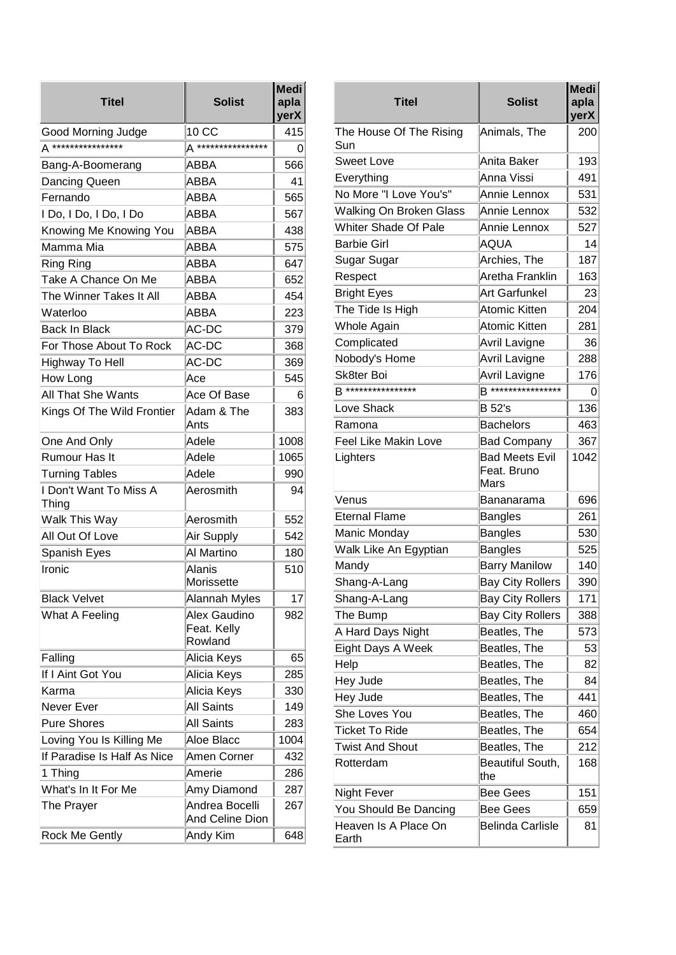| <b>Titel</b>                    | <b>Solist</b>                          | <b>Medi</b><br>apla<br>yerX |                                                                                                                                                                                                                                                                                                                                                                                                                     |
|---------------------------------|----------------------------------------|-----------------------------|---------------------------------------------------------------------------------------------------------------------------------------------------------------------------------------------------------------------------------------------------------------------------------------------------------------------------------------------------------------------------------------------------------------------|
| Good Morning Judge              | 10 CC                                  | 415                         | T                                                                                                                                                                                                                                                                                                                                                                                                                   |
| A ****************              | A ****************                     | 0                           | $\overline{\mathbf{s}}$                                                                                                                                                                                                                                                                                                                                                                                             |
| Bang-A-Boomerang                | ABBA                                   | 566                         | $\overline{s}$                                                                                                                                                                                                                                                                                                                                                                                                      |
| Dancing Queen                   | <b>ABBA</b>                            | 41                          | $\frac{E}{N}$                                                                                                                                                                                                                                                                                                                                                                                                       |
| Fernando                        | ABBA                                   | 565                         |                                                                                                                                                                                                                                                                                                                                                                                                                     |
| I Do, I Do, I Do, I Do          | ABBA                                   | 567                         | $\overline{v}$                                                                                                                                                                                                                                                                                                                                                                                                      |
| Knowing Me Knowing You          | ABBA                                   | 438                         | $\overline{v}$                                                                                                                                                                                                                                                                                                                                                                                                      |
| Mamma Mia                       | <b>ABBA</b>                            | 575                         | E                                                                                                                                                                                                                                                                                                                                                                                                                   |
| <b>Ring Ring</b>                | ABBA                                   | 647                         | $\overline{\mathbf{s}}$                                                                                                                                                                                                                                                                                                                                                                                             |
| Take A Chance On Me             | ABBA                                   | 652                         | F                                                                                                                                                                                                                                                                                                                                                                                                                   |
| The Winner Takes It All         | ABBA                                   | 454                         | E                                                                                                                                                                                                                                                                                                                                                                                                                   |
| Waterloo                        | ABBA                                   | 223                         | $\top$                                                                                                                                                                                                                                                                                                                                                                                                              |
| <b>Back In Black</b>            | AC-DC                                  | 379                         | $\overline{\mathsf{v}}$                                                                                                                                                                                                                                                                                                                                                                                             |
| For Those About To Rock         | AC-DC                                  | 368                         | $\frac{C}{N}$                                                                                                                                                                                                                                                                                                                                                                                                       |
| Highway To Hell                 | AC-DC                                  | 369                         |                                                                                                                                                                                                                                                                                                                                                                                                                     |
| How Long                        | Ace                                    | 545                         | $\overline{\mathbf{s}}$                                                                                                                                                                                                                                                                                                                                                                                             |
| All That She Wants              | Ace Of Base                            | 6                           | E                                                                                                                                                                                                                                                                                                                                                                                                                   |
| Kings Of The Wild Frontier      | Adam & The<br>Ants                     | 383                         | $\mathsf{R}$                                                                                                                                                                                                                                                                                                                                                                                                        |
| One And Only                    | Adele                                  | 1008                        | F                                                                                                                                                                                                                                                                                                                                                                                                                   |
| Rumour Has It                   | Adele                                  | 1065                        | L                                                                                                                                                                                                                                                                                                                                                                                                                   |
| <b>Turning Tables</b>           | Adele                                  | 990                         |                                                                                                                                                                                                                                                                                                                                                                                                                     |
| I Don't Want To Miss A<br>Thing | Aerosmith                              | 94                          | $\vee$                                                                                                                                                                                                                                                                                                                                                                                                              |
| Walk This Way                   | Aerosmith                              | 552                         | $\frac{E}{N}$                                                                                                                                                                                                                                                                                                                                                                                                       |
| All Out Of Love                 | Air Supply                             | 542                         |                                                                                                                                                                                                                                                                                                                                                                                                                     |
| Spanish Eyes                    | Al Martino                             | 180                         | $\overline{\mathsf{v}}$                                                                                                                                                                                                                                                                                                                                                                                             |
| Ironic                          | Alanis<br>Morissette                   | 510                         | N<br>Ιs                                                                                                                                                                                                                                                                                                                                                                                                             |
| <b>Black Velvet</b>             | Alannah Myles                          | 17                          | $\overline{\mathbf{s}}$                                                                                                                                                                                                                                                                                                                                                                                             |
| What A Feeling                  | Alex Gaudino<br>Feat. Kelly<br>Rowland | 982                         | $\mathsf T$<br>$\mathsf{A}% _{0}\!\left( \mathsf{A}\right) \equiv\mathsf{A}_{0}\!\left( \mathsf{A}_{0}\right) ^{\ast}\!\!\!\!\!A_{0}\!\!\!\!\!A_{0}\!\!\!\!\!A_{0}\!\!\!\!\!A_{1}\!\!\!\!\!A_{0}\!\!\!\!\!A_{1}\!\!\!\!\!A_{0}\!\!\!\!\!A_{1}\!\!\!\!\!A_{0}\!\!\!\!\!A_{1}\!\!\!\!\!A_{0}\!\!\!\!\!A_{1}\!\!\!\!A_{1}\!\!\!\!A_{0}\!\!\!\!A_{1}\!\!\!\!A_{0}\!\!\!\!A_{1}\!\!\!\!A_{0}\!\!\!\!A_{1}\!\!\!\!A_{0}\$ |
| Falling                         | Alicia Keys                            | 65                          | E                                                                                                                                                                                                                                                                                                                                                                                                                   |
| If I Aint Got You               | Alicia Keys                            | 285                         | $\frac{1}{1}$                                                                                                                                                                                                                                                                                                                                                                                                       |
| Karma                           | Alicia Keys                            | 330                         |                                                                                                                                                                                                                                                                                                                                                                                                                     |
| Never Ever                      | <b>All Saints</b>                      | 149                         |                                                                                                                                                                                                                                                                                                                                                                                                                     |
| <b>Pure Shores</b>              | All Saints                             | 283                         | $\overline{s}$                                                                                                                                                                                                                                                                                                                                                                                                      |
| Loving You Is Killing Me        | Aloe Blacc                             | 1004                        | T                                                                                                                                                                                                                                                                                                                                                                                                                   |
| If Paradise Is Half As Nice     | Amen Corner                            | 432                         | Τ                                                                                                                                                                                                                                                                                                                                                                                                                   |
| 1 Thing                         | Amerie                                 | 286                         | R                                                                                                                                                                                                                                                                                                                                                                                                                   |
| What's In It For Me             | Amy Diamond                            | 287                         | $\mathsf{N}$                                                                                                                                                                                                                                                                                                                                                                                                        |
| The Prayer                      | Andrea Bocelli<br>And Celine Dion      | 267                         | Y                                                                                                                                                                                                                                                                                                                                                                                                                   |
| <b>Rock Me Gently</b>           | Andy Kim                               | 648                         | <br>E                                                                                                                                                                                                                                                                                                                                                                                                               |

| Titel                          | <b>Solist</b>                                | <b>Medi</b><br>apla<br>yerX |
|--------------------------------|----------------------------------------------|-----------------------------|
| The House Of The Rising<br>Sun | Animals, The                                 | 200                         |
| <b>Sweet Love</b>              | Anita Baker                                  | 193                         |
| Everything                     | Anna Vissi                                   | 491                         |
| No More "I Love You's"         | Annie Lennox                                 | 531                         |
| <b>Walking On Broken Glass</b> | Annie Lennox                                 | 532                         |
| <b>Whiter Shade Of Pale</b>    | Annie Lennox                                 | 527                         |
| <b>Barbie Girl</b>             | AQUA                                         | 14                          |
| Sugar Sugar                    | Archies, The                                 | 187                         |
| Respect                        | Aretha Franklin                              | 163                         |
| <b>Bright Eyes</b>             | Art Garfunkel                                | 23                          |
| The Tide Is High               | <b>Atomic Kitten</b>                         | 204                         |
| Whole Again                    | <b>Atomic Kitten</b>                         | 281                         |
| Complicated                    | Avril Lavigne                                | 36                          |
| Nobody's Home                  | <b>Avril Lavigne</b>                         | 288                         |
| Sk8ter Boi                     | <b>Avril Lavigne</b>                         | 176                         |
| <b>B****************</b>       | <b>B****************</b>                     | 0                           |
| Love Shack                     | <b>B</b> 52's                                | 136                         |
| Ramona                         | <b>Bachelors</b>                             | 463                         |
| <b>Feel Like Makin Love</b>    | <b>Bad Company</b>                           | 367                         |
| Lighters                       | <b>Bad Meets Evil</b><br>Feat. Bruno<br>Mars | 1042                        |
| Venus                          | Bananarama                                   | 696                         |
| <b>Eternal Flame</b>           | <b>Bangles</b>                               | 261                         |
| Manic Monday                   | <b>Bangles</b>                               | 530                         |
| Walk Like An Egyptian          | <b>Bangles</b>                               | 525                         |
| Mandy                          | <b>Barry Manilow</b>                         | 140                         |
| Shang-A-Lang                   | <b>Bay City Rollers</b>                      | 390                         |
| Shang-A-Lang                   | <b>Bay City Rollers</b>                      | 171                         |
| The Bump                       | <b>Bay City Rollers</b>                      | 388                         |
| A Hard Days Night              | Beatles, The                                 | 573                         |
| Eight Days A Week              | Beatles, The                                 | 53                          |
| Help                           | Beatles, The                                 | 82                          |
| Hey Jude                       | Beatles, The                                 | 84                          |
| Hey Jude                       | Beatles, The                                 | 441                         |
| <b>She Loves You</b>           | Beatles, The                                 | 460                         |
| <b>Ticket To Ride</b>          | Beatles, The                                 | 654                         |
| <b>Twist And Shout</b>         | Beatles, The                                 | 212                         |
| Rotterdam                      | Beautiful South,<br>the                      | 168                         |
| <b>Night Fever</b>             | <b>Bee Gees</b>                              | 151                         |
| You Should Be Dancing          | <b>Bee Gees</b>                              | 659                         |
| Heaven Is A Place On<br>Earth  | <b>Belinda Carlisle</b>                      | 81                          |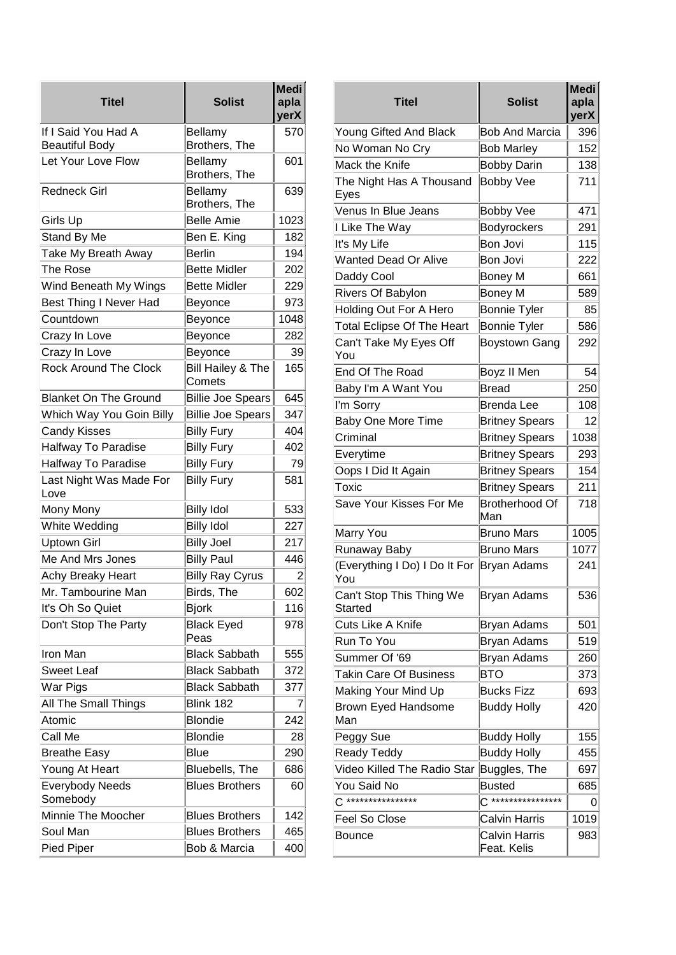| <b>Titel</b>                       | <b>Solist</b>               | <b>Medi</b><br>apla<br>yerX |
|------------------------------------|-----------------------------|-----------------------------|
| If I Said You Had A                | Bellamy                     | 570                         |
| <b>Beautiful Body</b>              | Brothers, The               |                             |
| Let Your Love Flow                 | Bellamy<br>Brothers, The    | 601                         |
| Redneck Girl                       | Bellamy<br>Brothers, The    | 639                         |
| Girls Up                           | <b>Belle Amie</b>           | 1023                        |
| Stand By Me                        | Ben E. King                 | 182                         |
| Take My Breath Away                | <b>Berlin</b>               | 194                         |
| The Rose                           | <b>Bette Midler</b>         | 202                         |
| Wind Beneath My Wings              | <b>Bette Midler</b>         | 229                         |
| <b>Best Thing I Never Had</b>      | Beyonce                     | 973                         |
| Countdown                          | Beyonce                     | 1048                        |
| Crazy In Love                      | Beyonce                     | 282                         |
| Crazy In Love                      | Beyonce                     | 39                          |
| <b>Rock Around The Clock</b>       | Bill Hailey & The<br>Comets | 165                         |
| <b>Blanket On The Ground</b>       | <b>Billie Joe Spears</b>    | 645                         |
| Which Way You Goin Billy           | <b>Billie Joe Spears</b>    | 347                         |
| <b>Candy Kisses</b>                | <b>Billy Fury</b>           | 404                         |
| Halfway To Paradise                | <b>Billy Fury</b>           | 402                         |
| <b>Halfway To Paradise</b>         | <b>Billy Fury</b>           | 79                          |
| Last Night Was Made For<br>Love    | <b>Billy Fury</b>           | 581                         |
| Mony Mony                          | <b>Billy Idol</b>           | 533                         |
| White Wedding                      | <b>Billy Idol</b>           | 227                         |
| <b>Uptown Girl</b>                 | <b>Billy Joel</b>           | 217                         |
| Me And Mrs Jones                   | <b>Billy Paul</b>           | 446                         |
| Achy Breaky Heart                  | <b>Billy Ray Cyrus</b>      | 2                           |
| Mr. Tambourine Man                 | Birds, The                  | 602                         |
| It's Oh So Quiet                   | <b>Bjork</b>                | 116                         |
| Don't Stop The Party               | <b>Black Eyed</b><br>Peas   | 978                         |
| Iron Man                           | <b>Black Sabbath</b>        | 555                         |
| <b>Sweet Leaf</b>                  | <b>Black Sabbath</b>        | 372                         |
| War Pigs                           | <b>Black Sabbath</b>        | 377                         |
| All The Small Things               | Blink 182                   | 7                           |
| Atomic                             | <b>Blondie</b>              | 242                         |
| Call Me                            | <b>Blondie</b>              | 28                          |
| <b>Breathe Easy</b>                | <b>Blue</b>                 | 290                         |
| Young At Heart                     | Bluebells, The              | 686                         |
| <b>Everybody Needs</b><br>Somebody | <b>Blues Brothers</b>       | 60                          |
| Minnie The Moocher                 | <b>Blues Brothers</b>       | 142                         |
| Soul Man                           | <b>Blues Brothers</b>       | 465                         |
| <b>Pied Piper</b>                  | Bob & Marcia                | 400                         |

| <b>Medi</b><br>apla<br>yerX | <b>Titel</b>                         | <b>Solist</b>                       | <b>Medi</b><br>apla<br>yerX |
|-----------------------------|--------------------------------------|-------------------------------------|-----------------------------|
| 570                         | Young Gifted And Black               | <b>Bob And Marcia</b>               | 396                         |
|                             | No Woman No Cry                      | <b>Bob Marley</b>                   | 152                         |
| 601                         | Mack the Knife                       | <b>Bobby Darin</b>                  | 138                         |
| 639                         | The Night Has A Thousand<br>Eyes     | <b>Bobby Vee</b>                    | 711                         |
| 1023                        | Venus In Blue Jeans                  | <b>Bobby Vee</b>                    | 471                         |
| 182                         | I Like The Way                       | <b>Bodyrockers</b>                  | 291                         |
| 194                         | It's My Life                         | Bon Jovi                            | 115                         |
| 202                         | <b>Wanted Dead Or Alive</b>          | Bon Jovi                            | 222                         |
| 229                         | Daddy Cool                           | Boney M                             | 661                         |
| 973                         | Rivers Of Babylon                    | Boney M                             | 589                         |
| 1048                        | <b>Holding Out For A Hero</b>        | <b>Bonnie Tyler</b>                 | 85                          |
|                             | <b>Total Eclipse Of The Heart</b>    | <b>Bonnie Tyler</b>                 | 586                         |
| 282<br>39                   | Can't Take My Eyes Off<br>You        | <b>Boystown Gang</b>                | 292                         |
| 165                         | End Of The Road                      | Boyz II Men                         | 54                          |
|                             | Baby I'm A Want You                  | <b>Bread</b>                        | 250                         |
| 645                         | I'm Sorry                            | Brenda Lee                          | 108                         |
| 347                         | Baby One More Time                   | <b>Britney Spears</b>               | 12                          |
| 404                         | Criminal                             | <b>Britney Spears</b>               | 1038                        |
| 402                         | Everytime                            | <b>Britney Spears</b>               | 293                         |
| 79                          | Oops I Did It Again                  | <b>Britney Spears</b>               | 154                         |
| 581                         | Toxic                                | <b>Britney Spears</b>               | 211                         |
| 533                         | Save Your Kisses For Me              | Brotherhood Of<br>Man               | 718                         |
| 227                         | Marry You                            | <b>Bruno Mars</b>                   | 1005                        |
| 217                         | Runaway Baby                         | <b>Bruno Mars</b>                   | 1077                        |
| 446<br>2                    | (Everything I Do) I Do It For<br>You | Bryan Adams                         | 241                         |
| 602<br>116                  | Can't Stop This Thing We<br>Started  | Bryan Adams                         | 536                         |
| 978                         | Cuts Like A Knife                    | Bryan Adams                         | 501                         |
|                             | Run To You                           | Bryan Adams                         | 519                         |
| 555                         | Summer Of '69                        | <b>Bryan Adams</b>                  | 260                         |
| 372                         | <b>Takin Care Of Business</b>        | <b>BTO</b>                          | 373                         |
| 377                         | Making Your Mind Up                  | <b>Bucks Fizz</b>                   | 693                         |
| 7                           | Brown Eyed Handsome                  | <b>Buddy Holly</b>                  | 420                         |
| 242                         | Man                                  |                                     |                             |
| 28                          | Peggy Sue                            | <b>Buddy Holly</b>                  | 155                         |
| 290                         | Ready Teddy                          | <b>Buddy Holly</b>                  | 455                         |
| 686                         | Video Killed The Radio Star          | Buggles, The                        | 697                         |
| 60                          | You Said No                          | Busted                              | 685                         |
|                             | ****************                     | ****************                    | 0                           |
| 142                         | Feel So Close                        | Calvin Harris                       | 1019                        |
| 465<br>400                  | Bounce                               | <b>Calvin Harris</b><br>Feat. Kelis | 983                         |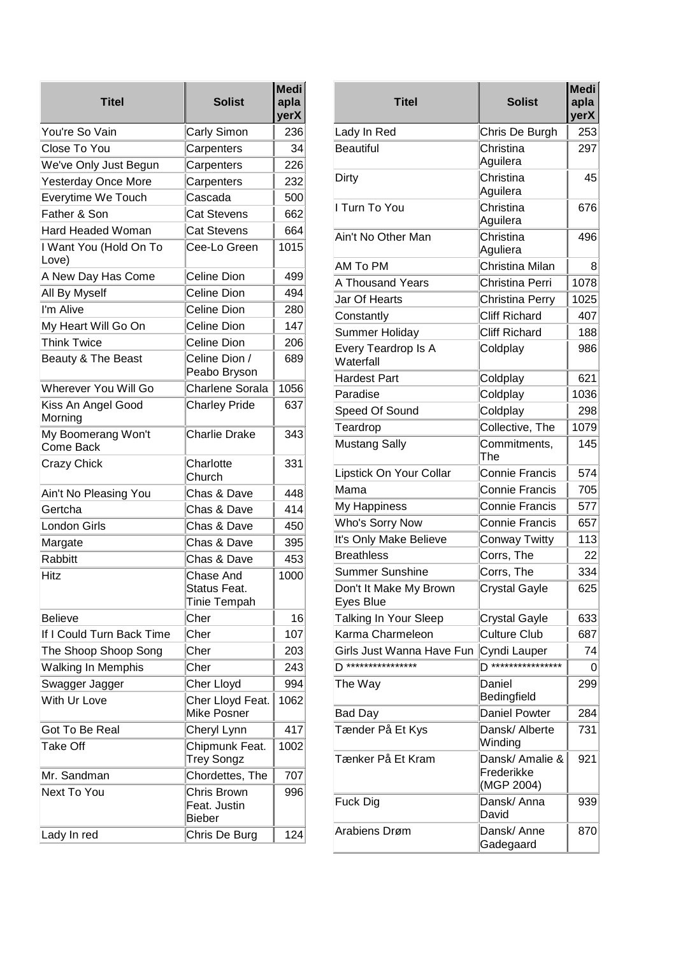| Titel                           | <b>Solist</b>                                    | <b>Medi</b><br>apla<br>yerX |
|---------------------------------|--------------------------------------------------|-----------------------------|
| You're So Vain                  | Carly Simon                                      | 236                         |
| Close To You                    | Carpenters                                       | 34                          |
| We've Only Just Begun           | Carpenters                                       | 226                         |
| <b>Yesterday Once More</b>      | Carpenters                                       | 232                         |
| Everytime We Touch              | Cascada                                          | 500                         |
| Father & Son                    | <b>Cat Stevens</b>                               | 662                         |
| <b>Hard Headed Woman</b>        | <b>Cat Stevens</b>                               | 664                         |
| I Want You (Hold On To<br>Love) | Cee-Lo Green                                     | 1015                        |
| A New Day Has Come              | <b>Celine Dion</b>                               | 499                         |
| All By Myself                   | Celine Dion                                      | 494                         |
| I'm Alive                       | Celine Dion                                      | 280                         |
| My Heart Will Go On             | Celine Dion                                      | 147                         |
| <b>Think Twice</b>              | Celine Dion                                      | 206                         |
| Beauty & The Beast              | Celine Dion /<br>Peabo Bryson                    | 689                         |
| Wherever You Will Go            | <b>Charlene Sorala</b>                           | 1056                        |
| Kiss An Angel Good<br>Morning   | <b>Charley Pride</b>                             | 637                         |
| My Boomerang Won't<br>Come Back | <b>Charlie Drake</b>                             | 343                         |
| <b>Crazy Chick</b>              | Charlotte<br>Church                              | 331                         |
| Ain't No Pleasing You           | Chas & Dave                                      | 448                         |
| Gertcha                         | Chas & Dave                                      | 414                         |
| <b>London Girls</b>             | Chas & Dave                                      | 450                         |
| Margate                         | Chas & Dave                                      | 395                         |
| Rabbitt                         | Chas & Dave                                      | 453                         |
| <b>Hitz</b>                     | Chase And<br>Status Feat.<br><b>Tinie Tempah</b> | 1000                        |
| <b>Believe</b>                  | Cher                                             | 16                          |
| If I Could Turn Back Time       | Cher                                             | 107                         |
| The Shoop Shoop Song            | Cher                                             | 203                         |
| <b>Walking In Memphis</b>       | Cher                                             | 243                         |
| Swagger Jagger                  | Cher Lloyd                                       | 994                         |
| With Ur Love                    | Cher Lloyd Feat.<br><b>Mike Posner</b>           | 1062                        |
| Got To Be Real                  | Cheryl Lynn                                      | 417                         |
| <b>Take Off</b>                 | Chipmunk Feat.<br><b>Trey Songz</b>              | 1002                        |
| Mr. Sandman                     | Chordettes, The                                  | 707                         |
| <b>Next To You</b>              | Chris Brown<br>Feat. Justin<br><b>Bieber</b>     | 996                         |
| Lady In red                     | Chris De Burg                                    | 124                         |

| Titel                               | <b>Solist</b>                               | <b>Medi</b><br>apla<br>yerX |
|-------------------------------------|---------------------------------------------|-----------------------------|
| Lady In Red                         | Chris De Burgh                              | 253                         |
| <b>Beautiful</b>                    | Christina<br>Aguilera                       | 297                         |
| Dirty                               | Christina<br>Aguilera                       | 45                          |
| I Turn To You                       | Christina<br>Aguilera                       | 676                         |
| Ain't No Other Man                  | Christina<br>Aguliera                       | 496                         |
| AM To PM                            | Christina Milan                             | 8                           |
| A Thousand Years                    | Christina Perri                             | 1078                        |
| Jar Of Hearts                       | Christina Perry                             | 1025                        |
| Constantly                          | <b>Cliff Richard</b>                        | 407                         |
| Summer Holiday                      | <b>Cliff Richard</b>                        | 188                         |
| Every Teardrop Is A<br>Waterfall    | Coldplay                                    | 986                         |
| <b>Hardest Part</b>                 | Coldplay                                    | 621                         |
| Paradise                            | Coldplay                                    | 1036                        |
| Speed Of Sound                      | Coldplay                                    | 298                         |
| Teardrop                            | Collective, The                             | 1079                        |
| <b>Mustang Sally</b>                | Commitments,<br>The                         | 145                         |
| Lipstick On Your Collar             | <b>Connie Francis</b>                       | 574                         |
| Mama                                | Connie Francis                              | 705                         |
| My Happiness                        | <b>Connie Francis</b>                       | 577                         |
| Who's Sorry Now                     | <b>Connie Francis</b>                       | 657                         |
| It's Only Make Believe              | Conway Twitty                               | 113                         |
| <b>Breathless</b>                   | Corrs, The                                  | 22                          |
| Summer Sunshine                     | Corrs, The                                  | 334                         |
| Don't It Make My Brown<br>Eyes Blue | <b>Crystal Gayle</b>                        | 625                         |
| Talking In Your Sleep               | <b>Crystal Gayle</b>                        | 633                         |
| Karma Charmeleon                    | <b>Culture Club</b>                         | 687                         |
| Girls Just Wanna Have Fun           | Cyndi Lauper                                | 74                          |
| ****************                    | ***************                             | 0                           |
| The Way                             | Daniel<br>Bedingfield                       | 299                         |
| Bad Day                             | <b>Daniel Powter</b>                        | 284                         |
| Tænder På Et Kys                    | Dansk/ Alberte<br>Winding                   | 731                         |
| Tænker På Et Kram                   | Dansk/ Amalie &<br>Frederikke<br>(MGP 2004) | 921                         |
| Fuck Dig                            | Dansk/ Anna<br>David                        | 939                         |
| Arabiens Drøm                       | Dansk/ Anne<br>Gadegaard                    | 870                         |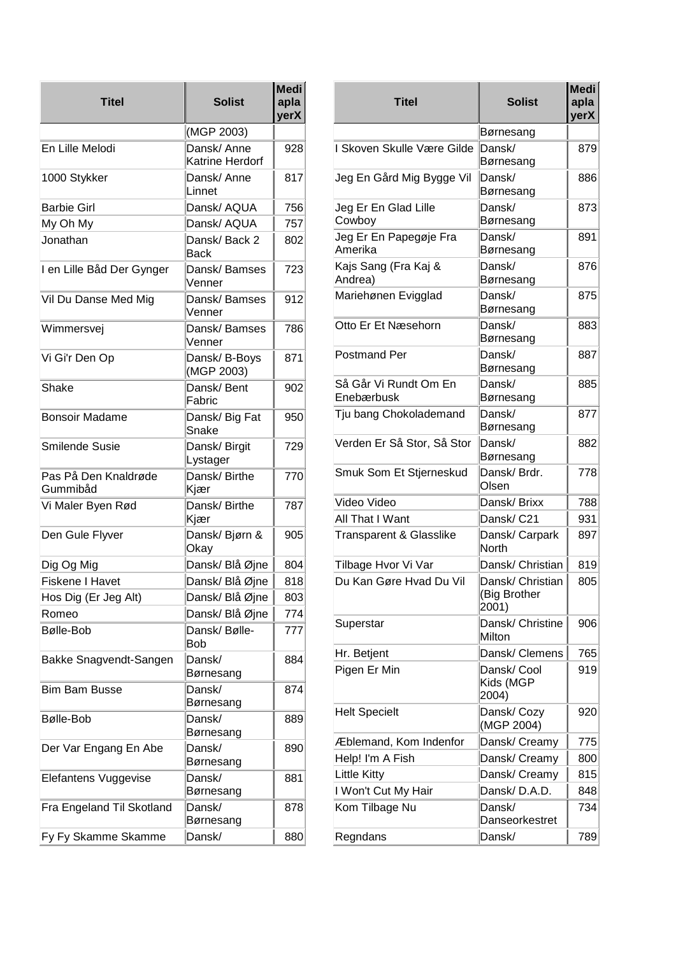| Titel                            | <b>Solist</b>                 | <b>Medi</b><br>apla<br>yerX |
|----------------------------------|-------------------------------|-----------------------------|
|                                  | (MGP 2003)                    |                             |
| En Lille Melodi                  | Dansk/Anne<br>Katrine Herdorf | 928                         |
| 1000 Stykker                     | Dansk/Anne<br>Linnet          | 817                         |
| <b>Barbie Girl</b>               | Dansk/ AQUA                   | 756                         |
| My Oh My                         | Dansk/ AQUA                   | 757                         |
| Jonathan                         | Dansk/Back 2<br>Back          | 802                         |
| I en Lille Båd Der Gynger        | Dansk/Bamses<br>Venner        | 723                         |
| Vil Du Danse Med Mig             | Dansk/Bamses<br>Venner        | 912                         |
| Wimmersvej                       | Dansk/Bamses<br>Venner        | 786                         |
| Vi Gi'r Den Op                   | Dansk/B-Boys<br>(MGP 2003)    | 871                         |
| Shake                            | Dansk/Bent<br>Fabric          | 902                         |
| <b>Bonsoir Madame</b>            | Dansk/ Big Fat<br>Snake       | 950                         |
| Smilende Susie                   | Dansk/Birgit<br>Lystager      | 729                         |
| Pas På Den Knaldrøde<br>Gummibåd | Dansk/Birthe<br>Kjær          | 770                         |
| Vi Maler Byen Rød                | Dansk/Birthe<br>Kjær          | 787                         |
| Den Gule Flyver                  | Dansk/Bjørn &<br>Okay         | 905                         |
| Dig Og Mig                       | Dansk/Blå Øjne                | 804                         |
| Fiskene I Havet                  | Dansk/ Blå Øjne               | 818                         |
| Hos Dig (Er Jeg Alt)             | Dansk/ Blå Øjne               | 803                         |
| Romeo                            | Dansk/ Blå Øjne               | 774                         |
| Bølle-Bob                        | Dansk/Bølle-<br>Bob           | 777                         |
| Bakke Snagvendt-Sangen           | Dansk/<br>Børnesang           | 884                         |
| <b>Bim Bam Busse</b>             | Dansk/<br>Børnesang           | 874                         |
| Bølle-Bob                        | Dansk/<br>Børnesang           | 889                         |
| Der Var Engang En Abe            | Dansk/<br>Børnesang           | 890                         |
| Elefantens Vuggevise             | Dansk/<br>Børnesang           | 881                         |
| Fra Engeland Til Skotland        | Dansk/<br>Børnesang           | 878                         |
| Fy Fy Skamme Skamme              | Dansk/                        | 880                         |

| <b>Titel</b>                        | <b>Solist</b>                             | <b>Medi</b><br>apla<br>yerX |
|-------------------------------------|-------------------------------------------|-----------------------------|
|                                     | Børnesang                                 |                             |
| I Skoven Skulle Være Gilde          | Dansk/<br>Børnesang                       | 879                         |
| Jeg En Gård Mig Bygge Vil           | Dansk/<br>Børnesang                       | 886                         |
| Jeg Er En Glad Lille<br>Cowboy      | Dansk/<br>Børnesang                       | 873                         |
| Jeg Er En Papegøje Fra<br>Amerika   | Dansk/<br>Børnesang                       | 891                         |
| Kajs Sang (Fra Kaj &<br>Andrea)     | Dansk/<br>Børnesang                       | 876                         |
| Mariehønen Evigglad                 | Dansk/<br>Børnesang                       | 875                         |
| Otto Er Et Næsehorn                 | Dansk/<br>Børnesang                       | 883                         |
| <b>Postmand Per</b>                 | Dansk/<br>Børnesang                       | 887                         |
| Så Går Vi Rundt Om En<br>Enebærbusk | Dansk/<br>Børnesang                       | 885                         |
| Tju bang Chokolademand              | Dansk/<br>Børnesang                       | 877                         |
| Verden Er Så Stor, Så Stor          | Dansk/<br>Børnesang                       | 882                         |
| Smuk Som Et Stjerneskud             | Dansk/Brdr.<br>Olsen                      | 778                         |
| Video Video                         | Dansk/Brixx                               | 788                         |
| All That I Want                     | Dansk/ C21                                | 931                         |
| Transparent & Glasslike             | Dansk/ Carpark<br>North                   | 897                         |
| Tilbage Hvor Vi Var                 | Dansk/ Christian                          | 819                         |
| Du Kan Gøre Hvad Du Vil             | Dansk/ Christian<br>(Big Brother<br>2001) | 805                         |
| Superstar                           | Dansk/ Christine<br>Milton                | 906                         |
| Hr. Betjent                         | Dansk/ Clemens                            | 765                         |
| Pigen Er Min                        | Dansk/ Cool<br>Kids (MGP<br>2004)         | 919                         |
| <b>Helt Specielt</b>                | Dansk/ Cozy<br>(MGP 2004)                 | 920                         |
| Æblemand, Kom Indenfor              | Dansk/ Creamy                             | 775                         |
| Help! I'm A Fish                    | Dansk/ Creamy                             | 800                         |
| <b>Little Kitty</b>                 | Dansk/ Creamy                             | 815                         |
| I Won't Cut My Hair                 | Dansk/D.A.D.                              | 848                         |
| Kom Tilbage Nu                      | Dansk/<br>Danseorkestret                  | 734                         |
| Regndans                            | Dansk/                                    | 789                         |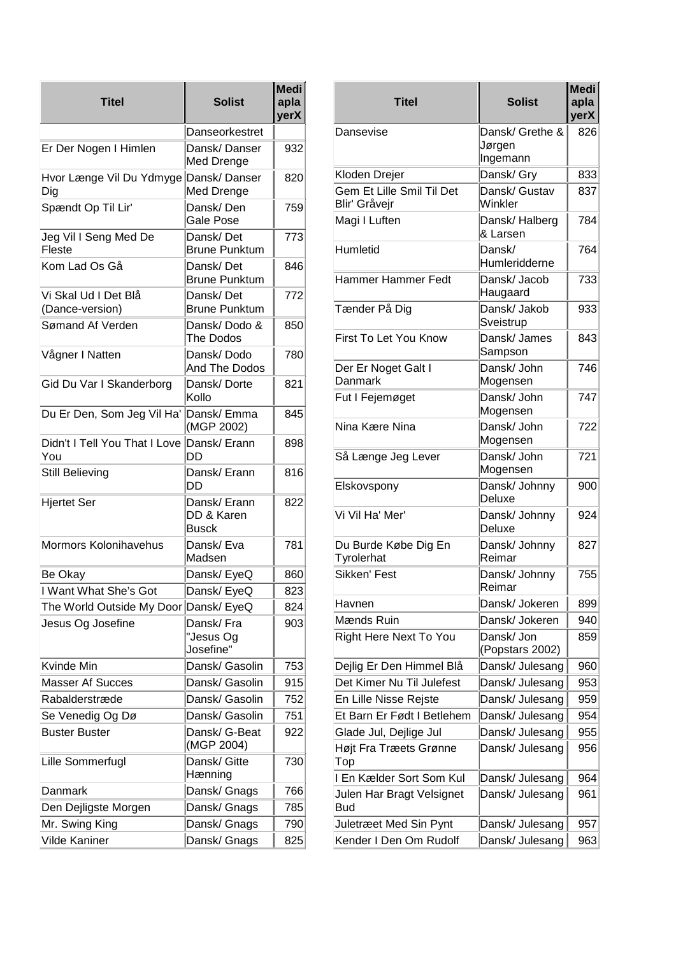| <b>Titel</b>                                  | <b>Solist</b>                              | <b>Medi</b><br>apla<br>yerX |
|-----------------------------------------------|--------------------------------------------|-----------------------------|
|                                               | Danseorkestret                             |                             |
| Er Der Nogen I Himlen                         | Dansk/Danser<br>Med Drenge                 | 932                         |
| Hvor Længe Vil Du Ydmyge Dansk/ Danser<br>Dig | Med Drenge                                 | 820                         |
| Spændt Op Til Lir'                            | Dansk/ Den<br>Gale Pose                    | 759                         |
| Jeg Vil I Seng Med De<br>Fleste               | Dansk/Det<br><b>Brune Punktum</b>          | 773                         |
| Kom Lad Os Gå                                 | Dansk/Det<br><b>Brune Punktum</b>          | 846                         |
| Vi Skal Ud I Det Blå<br>(Dance-version)       | Dansk/Det<br><b>Brune Punktum</b>          | 772                         |
| Sømand Af Verden                              | Dansk/Dodo &<br>The Dodos                  | 850                         |
| Vågner I Natten                               | Dansk/Dodo<br>And The Dodos                | 780                         |
| Gid Du Var I Skanderborg                      | Dansk/Dorte<br>Kollo                       | 821                         |
| Du Er Den, Som Jeg Vil Ha'                    | Dansk/ Emma<br>(MGP 2002)                  | 845                         |
| Didn't I Tell You That I Love<br>You          | Dansk/ Erann<br>DD                         | 898                         |
| Still Believing                               | Dansk/ Erann<br>DD                         | 816                         |
| <b>Hjertet Ser</b>                            | Dansk/ Erann<br>DD & Karen<br><b>Busck</b> | 822                         |
| Mormors Kolonihavehus                         | Dansk/ Eva<br>Madsen                       | 781                         |
| Be Okay                                       | Dansk/ EyeQ                                | 860                         |
| I Want What She's Got                         | Dansk/ EyeQ                                | 823                         |
| The World Outside My Door Dansk/ EyeQ         |                                            | 824                         |
| Jesus Og Josefine                             | Dansk/Fra<br>"Jesus Og<br>Josefine"        | 903                         |
| Kvinde Min                                    | Dansk/ Gasolin                             | 753                         |
| <b>Masser Af Succes</b>                       | Dansk/ Gasolin                             | 915                         |
| Rabalderstræde                                | Dansk/ Gasolin                             | 752                         |
| Se Venedig Og Dø                              | Dansk/ Gasolin                             | 751                         |
| <b>Buster Buster</b>                          | Dansk/ G-Beat<br>(MGP 2004)                | 922                         |
| Lille Sommerfugl                              | Dansk/ Gitte<br>Hænning                    | 730                         |
| Danmark                                       | Dansk/ Gnags                               | 766                         |
| Den Dejligste Morgen                          | Dansk/ Gnags                               | 785                         |
| Mr. Swing King                                | Dansk/ Gnags                               | 790                         |
| <b>Vilde Kaniner</b>                          | Dansk/ Gnags                               | 825                         |

| Medi<br>apla<br>yerX | <b>Titel</b>                               | <b>Medi</b><br><b>Solist</b><br>apla<br>yerX |     |
|----------------------|--------------------------------------------|----------------------------------------------|-----|
|                      | Dansevise                                  | Dansk/ Grethe &                              | 826 |
| 932                  |                                            | Jørgen<br>Ingemann                           |     |
| 820                  | Kloden Drejer                              | Dansk/ Gry                                   | 833 |
| 759                  | Gem Et Lille Smil Til Det<br>Blir' Gråvejr | Dansk/ Gustav<br>Winkler                     | 837 |
| 773                  | Magi I Luften                              | Dansk/Halberg<br>& Larsen                    | 784 |
| 846                  | Humletid                                   | Dansk/<br>Humleridderne                      | 764 |
| 772                  | Hammer Hammer Fedt                         | Dansk/ Jacob<br>Haugaard                     | 733 |
| 850                  | Tænder På Dig                              | Dansk/ Jakob<br>Sveistrup                    | 933 |
| 780                  | First To Let You Know                      | Dansk/ James<br>Sampson                      | 843 |
| 821                  | Der Er Noget Galt I<br>Danmark             | Dansk/ John<br>Mogensen                      | 746 |
| 845                  | Fut I Fejemøget                            | Dansk/ John<br>Mogensen                      | 747 |
|                      | Nina Kære Nina                             | Dansk/ John                                  | 722 |
| 898                  | Så Længe Jeg Lever                         | Mogensen<br>Dansk/ John                      | 721 |
| 816                  |                                            | Mogensen                                     |     |
| 822                  | Elskovspony                                | Dansk/ Johnny<br>Deluxe                      | 900 |
|                      | Vi Vil Ha' Mer'                            | Dansk/ Johnny<br>Deluxe                      | 924 |
| 781                  | Du Burde Købe Dig En<br>Tyrolerhat         | Dansk/ Johnny<br>Reimar                      | 827 |
| 860<br>823           | Sikken' Fest                               | Dansk/ Johnny<br>Reimar                      | 755 |
| 824                  | Havnen                                     | Dansk/ Jokeren                               | 899 |
| 903                  | Mænds Ruin                                 | Dansk/ Jokeren                               | 940 |
|                      | Right Here Next To You                     | Dansk/ Jon<br>(Popstars 2002)                | 859 |
| 753                  | Dejlig Er Den Himmel Blå                   | Dansk/ Julesang                              | 960 |
| 915                  | Det Kimer Nu Til Julefest                  | Dansk/ Julesang                              | 953 |
| 752                  | En Lille Nisse Rejste                      | Dansk/ Julesang                              | 959 |
| 751                  | Et Barn Er Født I Betlehem                 | Dansk/ Julesang                              | 954 |
| 922                  | Glade Jul, Dejlige Jul                     | Dansk/ Julesang                              | 955 |
| 730                  | Højt Fra Træets Grønne<br>Top              | Dansk/ Julesang                              | 956 |
|                      | I En Kælder Sort Som Kul                   | Dansk/ Julesang                              | 964 |
| 766<br>785           | Julen Har Bragt Velsignet<br>Bud           | Dansk/ Julesang                              | 961 |
| 790                  | Juletræet Med Sin Pynt                     | Dansk/ Julesang                              | 957 |
| 825                  | Kender I Den Om Rudolf                     | Dansk/ Julesang                              | 963 |
|                      |                                            |                                              |     |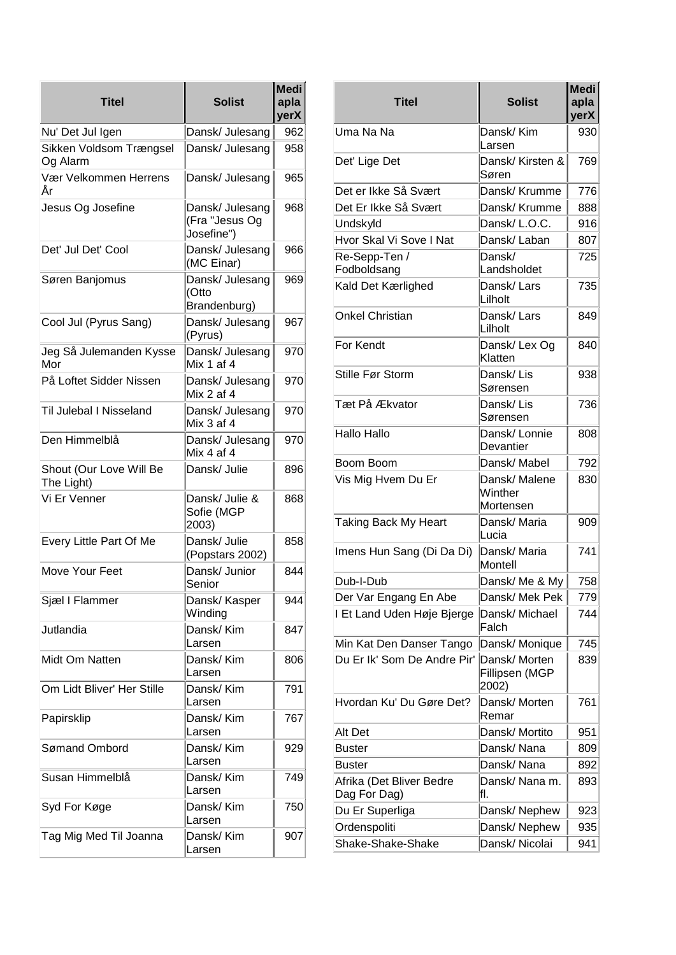| <b>Titel</b>                          | <b>Solist</b>                            | <b>Medi</b><br>apla<br>yerX |                                |
|---------------------------------------|------------------------------------------|-----------------------------|--------------------------------|
| Nu' Det Jul Igen                      | Dansk/ Julesang                          | 962                         | Uma Na I                       |
| Sikken Voldsom Trængsel<br>Og Alarm   | Dansk/ Julesang                          | 958                         | Det' Lige                      |
| Vær Velkommen Herrens<br>År           | Dansk/ Julesang                          | 965                         | Det er Ikk                     |
| Jesus Og Josefine                     | Dansk/ Julesang                          | 968                         | Det Er Ikl                     |
|                                       | (Fra "Jesus Og                           |                             | Undskyld                       |
|                                       | Josefine")                               |                             | Hvor Ska                       |
| Det' Jul Det' Cool                    | Dansk/ Julesang<br>(MC Einar)            | 966                         | Re-Sepp-<br>Fodbolds           |
| Søren Banjomus                        | Dansk/ Julesang<br>(Otto<br>Brandenburg) | 969                         | Kald Det                       |
| Cool Jul (Pyrus Sang)                 | Dansk/ Julesang<br>(Pyrus)               | 967                         | Onkel Ch                       |
| Jeg Så Julemanden Kysse<br>Mor        | Dansk/ Julesang<br>Mix 1 af 4            | 970                         | For Kend                       |
| På Loftet Sidder Nissen               | Dansk/ Julesang<br>Mix 2 af 4            | 970                         | Stille Før                     |
| Til Julebal I Nisseland               | Dansk/ Julesang<br>Mix 3 af 4            | 970                         | Tæt På <i>A</i>                |
| Den Himmelblå                         | Dansk/ Julesang<br>Mix 4 af 4            | 970                         | Hallo Hal                      |
| Shout (Our Love Will Be<br>The Light) | Dansk/ Julie                             | 896                         | Boom Bo<br>Vis Mig H           |
| Vi Er Venner                          | Dansk/ Julie &<br>Sofie (MGP<br>2003)    | 868                         | Taking Ba                      |
| Every Little Part Of Me               | Dansk/ Julie<br>(Popstars 2002)          | 858                         | Imens Hu                       |
| Move Your Feet                        | Dansk/ Junior<br>Senior                  | 844                         | Dub-I-Dul                      |
| Sjæl I Flammer                        | Dansk/ Kasper<br>Winding                 | 944                         | Der Var E<br>I Et Land         |
| Jutlandia                             | Dansk/ Kim<br>Larsen                     | 847                         | Min Kat D                      |
| Midt Om Natten                        | Dansk/ Kim<br>lLarsen                    | 806                         | Du Er Ik'                      |
| Om Lidt Bliver' Her Stille            | Dansk/ Kim<br>Larsen                     | 791                         | Hvordan                        |
| Papirsklip                            | Dansk/ Kim                               | 767                         |                                |
| Sømand Ombord                         | Larsen<br>Dansk/ Kim                     |                             | Alt Det                        |
|                                       | Larsen                                   | 929                         | <b>Buster</b><br><b>Buster</b> |
| Susan Himmelblå                       | Dansk/ Kim<br>Larsen                     | 749                         | Afrika (De                     |
| Syd For Køge                          | Dansk/ Kim                               | 750                         | Dag For I<br>Du Er Su          |
|                                       | Larsen                                   |                             | Ordenspo                       |
| Tag Mig Med Til Joanna                | Dansk/ Kim<br>Larsen                     | 907                         | Shake-Sh                       |

| <b>Titel</b>                             | <b>Solist</b>                            | <b>Medi</b><br>apla<br>yerX |
|------------------------------------------|------------------------------------------|-----------------------------|
| Uma Na Na                                | Dansk/ Kim<br>Larsen                     | 930                         |
| Det' Lige Det                            | Dansk/ Kirsten &<br>Søren                | 769                         |
| Det er Ikke Så Svært                     | Dansk/ Krumme                            | 776                         |
| Det Er Ikke Så Svært                     | Dansk/ Krumme                            | 888                         |
| Undskyld                                 | Dansk/ L.O.C.                            | 916                         |
| Hvor Skal Vi Sove I Nat                  | Dansk/ Laban                             | 807                         |
| Re-Sepp-Ten /<br>Fodboldsang             | Dansk/<br>Landsholdet                    | 725                         |
| Kald Det Kærlighed                       | Dansk/ Lars<br>Lilholt                   | 735                         |
| <b>Onkel Christian</b>                   | Dansk/ Lars<br>Lilholt                   | 849                         |
| For Kendt                                | Dansk/Lex Og<br>Klatten                  | 840                         |
| Stille Før Storm                         | Dansk/ Lis<br>Sørensen                   | 938                         |
| Tæt På Ækvator                           | Dansk/ Lis<br>Sørensen                   | 736                         |
| Hallo Hallo                              | Dansk/Lonnie<br>Devantier                | 808                         |
| Boom Boom                                | Dansk/ Mabel                             | 792                         |
| Vis Mig Hvem Du Er                       | Dansk/ Malene<br>Winther<br>Mortensen    | 830                         |
| <b>Taking Back My Heart</b>              | Dansk/Maria<br>Lucia                     | 909                         |
| Imens Hun Sang (Di Da Di)                | Dansk/ Maria<br>Montell                  | 741                         |
| Dub-I-Dub                                | Dansk/ Me & My                           | 758                         |
| Der Var Engang En Abe                    | Dansk/ Mek Pek                           | 779                         |
| I Et Land Uden Høje Bjerge               | Dansk/ Michael<br>Falch                  | 744                         |
| Min Kat Den Danser Tango                 | Dansk/ Monique                           | 745                         |
| Du Er Ik' Som De Andre Pir'              | Dansk/ Morten<br>Fillipsen (MGP<br>2002) | 839                         |
| Hvordan Ku' Du Gøre Det?                 | Dansk/Morten<br>Remar                    | 761                         |
| Alt Det                                  | Dansk/ Mortito                           | 951                         |
| <b>Buster</b>                            | Dansk/Nana                               | 809                         |
| <b>Buster</b>                            | Dansk/Nana                               | 892                         |
| Afrika (Det Bliver Bedre<br>Dag For Dag) | Dansk/ Nana m.<br>fl.                    | 893                         |
| Du Er Superliga                          | Dansk/Nephew                             | 923                         |
| Ordenspoliti                             | Dansk/Nephew                             | 935                         |
| Shake-Shake-Shake                        | Dansk/Nicolai                            | 941                         |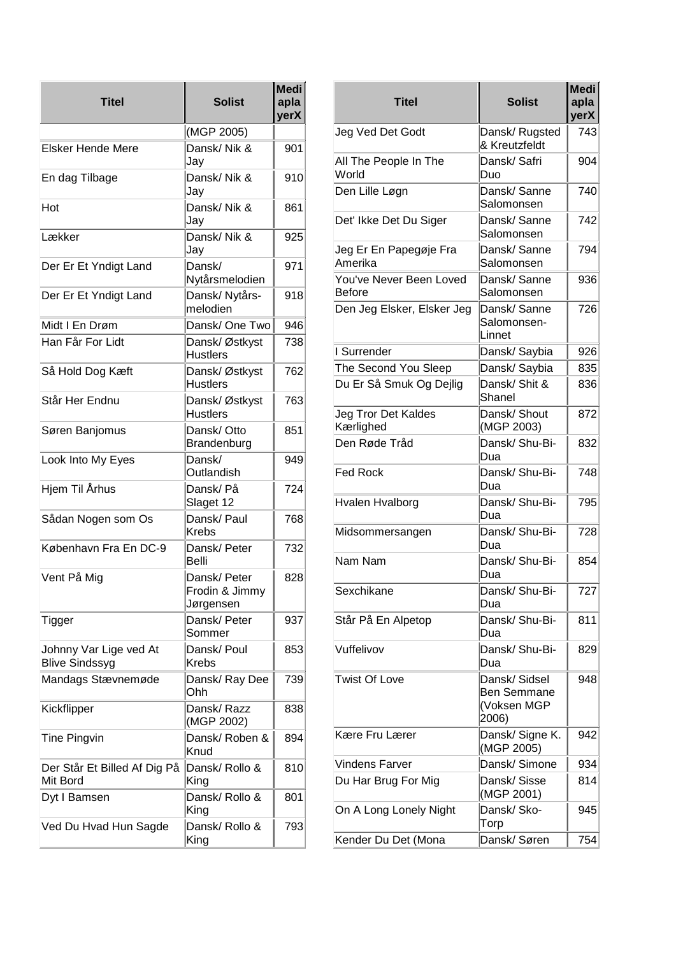| (MGP 2005)                                  | yerX                                                                                                              |                          |
|---------------------------------------------|-------------------------------------------------------------------------------------------------------------------|--------------------------|
|                                             |                                                                                                                   | Jeg Ved I                |
| Dansk/ Nik &<br>Jay                         | 901                                                                                                               | All The P                |
| Dansk/ Nik &<br>Jay                         | 910                                                                                                               | World<br>Den Lille       |
| Dansk/Nik &                                 | 861                                                                                                               | Det' Ikke                |
| Dansk/Nik &                                 | 925                                                                                                               | Jeg Er Er                |
| Dansk/                                      | 971                                                                                                               | Amerika<br>You've N      |
| Dansk/ Nytårs-<br>melodien                  | 918                                                                                                               | <b>Before</b><br>Den Jeg |
| Dansk/One Two                               | 946                                                                                                               |                          |
| Dansk/Østkyst<br><b>Hustlers</b>            | 738                                                                                                               | I Surrend                |
| Dansk/Østkyst<br><b>Hustlers</b>            | 762                                                                                                               | The Secc<br>Du Er Så     |
| Dansk/Østkyst<br><b>Hustlers</b>            | 763                                                                                                               | Jeg Tror                 |
| Dansk/Otto                                  | 851                                                                                                               | Kærlighe<br>Den Rød      |
| Dansk/<br>Outlandish                        | 949                                                                                                               | <b>Fed Rock</b>          |
| Dansk/På<br>Slaget 12                       | 724                                                                                                               | <b>Hvalen H</b>          |
| Dansk/ Paul<br><b>Krebs</b>                 | 768                                                                                                               | Midsomm                  |
| Dansk/Peter<br>Belli                        | 732                                                                                                               | Nam Nan                  |
| Dansk/ Peter<br>Frodin & Jimmy<br>Jørgensen | 828                                                                                                               | Sexchika                 |
| Dansk/Peter<br>Sommer                       | 937                                                                                                               | Står På E                |
| Dansk/ Poul<br><b>Krebs</b>                 | 853                                                                                                               | Vuffelivoy               |
| Dansk/Ray Dee<br>Ohh                        | 739                                                                                                               | Twist Of I               |
| Dansk/Razz                                  | 838                                                                                                               |                          |
| Dansk/Roben &<br>Knud                       | 894                                                                                                               | Kære Fru                 |
| Dansk/ Rollo &                              | 810                                                                                                               | Vindens I<br>Du Har B    |
| Dansk/ Rollo &                              | 801                                                                                                               | On A Lon                 |
| Dansk/ Rollo &                              | 793                                                                                                               | Kender D                 |
|                                             | Jay<br>Jay<br>Nytårsmelodien<br>Brandenburg<br>(MGP 2002)<br>Der Står Et Billed Af Dig På<br>King<br>King<br>King |                          |

| <b>Titel</b>                       | <b>Solist</b>                                               | <b>Medi</b><br>apla<br>yerX |
|------------------------------------|-------------------------------------------------------------|-----------------------------|
| Jeg Ved Det Godt                   | Dansk/Rugsted<br>& Kreutzfeldt                              | 743                         |
| All The People In The<br>World     | Dansk/Safri<br>Duo                                          | 904                         |
| Den Lille Løgn                     | Dansk/Sanne<br>Salomonsen                                   | 740                         |
| Det' Ikke Det Du Siger             | Dansk/Sanne<br>Salomonsen                                   | 742                         |
| Jeg Er En Papegøje Fra<br>lAmerika | Dansk/Sanne<br>Salomonsen                                   | 794                         |
| You've Never Been Loved<br>Before  | Dansk/Sanne<br>Salomonsen                                   | 936                         |
| Den Jeg Elsker, Elsker Jeg         | Dansk/Sanne<br>Salomonsen-<br>Linnet                        | 726                         |
| I Surrender                        | Dansk/ Saybia                                               | 926                         |
| The Second You Sleep               | Dansk/ Saybia                                               | 835                         |
| Du Er Så Smuk Og Dejlig            | Dansk/ Shit &<br>Shanel                                     | 836                         |
| Jeg Tror Det Kaldes<br>Kærlighed   | Dansk/Shout<br>(MGP 2003)                                   | 872                         |
| Den Røde Tråd                      | Dansk/ Shu-Bi-<br>Dua                                       | 832                         |
| Fed Rock                           | Dansk/ Shu-Bi-<br>Dua                                       | 748                         |
| Hvalen Hvalborg                    | Dansk/ Shu-Bi-<br>Dua                                       | 795                         |
| Midsommersangen                    | Dansk/ Shu-Bi-<br>Dua                                       | 728                         |
| Nam Nam                            | Dansk/ Shu-Bi-<br>Dua                                       | 854                         |
| Sexchikane                         | Dansk/ Shu-Bi-<br>Dua                                       | 727                         |
| Står På En Alpetop                 | Dansk/ Shu-Bi-<br>Dua                                       | 811                         |
| Vuffelivov                         | Dansk/ Shu-Bi-<br>Dua                                       | 829                         |
| Twist Of Love                      | Dansk/ Sidsel<br><b>Ben Semmane</b><br>(Voksen MGP<br>2006) | 948                         |
| Kære Fru Lærer                     | Dansk/ Signe K.<br>(MGP 2005)                               | 942                         |
| Vindens Farver                     | Dansk/ Simone                                               | 934                         |
| Du Har Brug For Mig                | Dansk/Sisse<br>(MGP 2001)                                   | 814                         |
| On A Long Lonely Night             | Dansk/Sko-<br>Torp                                          | 945                         |
| Kender Du Det (Mona                | Dansk/Søren                                                 | 754                         |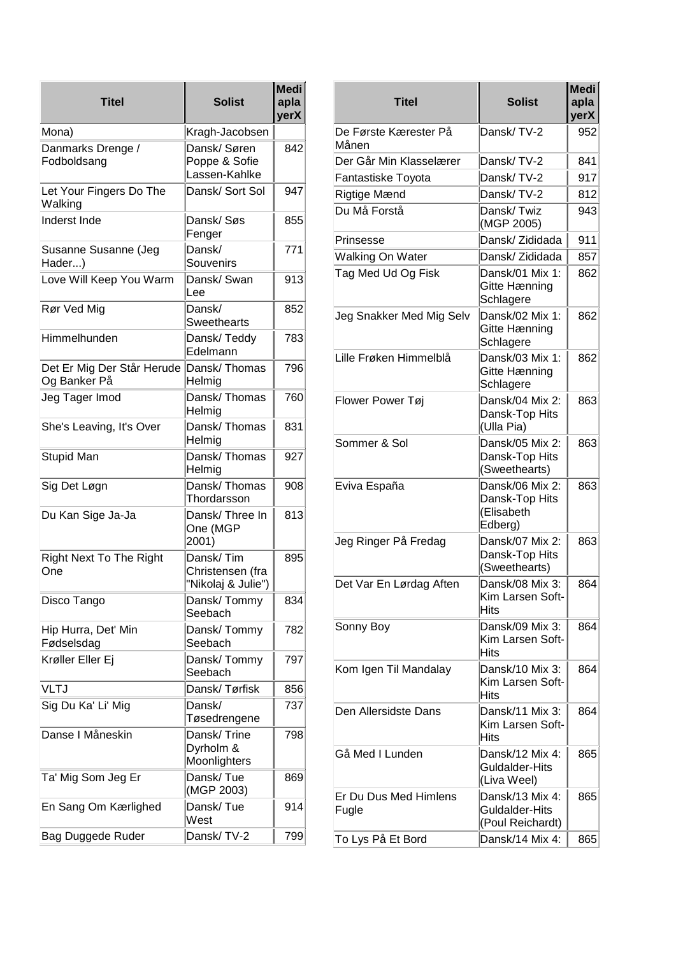| Titel                                      | <b>Solist</b>                                       | <b>Medi</b><br>apla<br>yerX |
|--------------------------------------------|-----------------------------------------------------|-----------------------------|
| Mona)                                      | Kragh-Jacobsen                                      |                             |
| Danmarks Drenge /<br>Fodboldsang           | Dansk/Søren<br>Poppe & Sofie<br>Lassen-Kahlke       | 842                         |
| Let Your Fingers Do The<br>Walking         | Dansk/ Sort Sol                                     | 947                         |
| <b>Inderst Inde</b>                        | Dansk/Søs<br>Fenger                                 | 855                         |
| Susanne Susanne (Jeg<br>Hader)             | Dansk/<br>Souvenirs                                 | 771                         |
| Love Will Keep You Warm                    | Dansk/ Swan<br>Lee                                  | 913                         |
| Rør Ved Mig                                | Dansk/<br><b>Sweethearts</b>                        | 852                         |
| Himmelhunden                               | Dansk/Teddy<br>Edelmann                             | 783                         |
| Det Er Mig Der Står Herude<br>Og Banker På | Dansk/Thomas<br>Helmig                              | 796                         |
| Jeg Tager Imod                             | Dansk/Thomas<br>Helmig                              | 760                         |
| She's Leaving, It's Over                   | Dansk/Thomas<br>Helmig                              | 831                         |
| Stupid Man                                 | Dansk/Thomas<br>Helmig                              | 927                         |
| Sig Det Løgn                               | Dansk/Thomas<br>Thordarsson                         | 908                         |
| Du Kan Sige Ja-Ja                          | Dansk/Three In<br>One (MGP<br>2001)                 | 813                         |
| <b>Right Next To The Right</b><br>One      | Dansk/Tim<br>Christensen (fra<br>"Nikolaj & Julie") | 895                         |
| Disco Tango                                | Dansk/Tommy<br>Seebach                              | 834                         |
| Hip Hurra, Det' Min<br>Fødselsdag          | Dansk/Tommy<br>Seebach                              | 782                         |
| Krøller Eller Ej                           | Dansk/Tommy<br>Seebach                              | 797                         |
| <b>VLTJ</b>                                | Dansk/Tørfisk                                       | 856                         |
| Sig Du Ka' Li' Mig                         | Dansk/<br>Tøsedrengene                              | 737                         |
| Danse I Måneskin                           | Dansk/Trine<br>Dyrholm &<br>Moonlighters            | 798                         |
| Ta' Mig Som Jeg Er                         | Dansk/Tue<br>(MGP 2003)                             | 869                         |
| En Sang Om Kærlighed                       | Dansk/Tue<br>West                                   | 914                         |
| Bag Duggede Ruder                          | Dansk/TV-2                                          | 799                         |

| <b>Titel</b>                   | <b>Solist</b>                                              | <b>Medi</b><br>apla<br>yerX |
|--------------------------------|------------------------------------------------------------|-----------------------------|
| De Første Kærester På<br>Månen | Dansk/TV-2                                                 | 952                         |
| Der Går Min Klasselærer        | Dansk/TV-2                                                 | 841                         |
| Fantastiske Toyota             | Dansk/TV-2                                                 | 917                         |
| Rigtige Mænd                   | Dansk/TV-2                                                 | 812                         |
| Du Må Forstå                   | Dansk/Twiz<br>(MGP 2005)                                   | 943                         |
| Prinsesse                      | Dansk/ Zididada                                            | 911                         |
| Walking On Water               | Dansk/ Zididada                                            | 857                         |
| Tag Med Ud Og Fisk             | Dansk/01 Mix 1:<br>Gitte Hænning<br>Schlagere              | 862                         |
| Jeg Snakker Med Mig Selv       | Dansk/02 Mix 1:<br>Gitte Hænning<br>Schlagere              | 862                         |
| Lille Frøken Himmelblå         | Dansk/03 Mix 1:<br>Gitte Hænning<br>Schlagere              | 862                         |
| Flower Power Tøj               | Dansk/04 Mix 2:<br>Dansk-Top Hits<br>(Ulla Pia)            | 863                         |
| Sommer & Sol                   | Dansk/05 Mix 2:<br>Dansk-Top Hits<br>(Sweethearts)         | 863                         |
| Eviva España                   | Dansk/06 Mix 2:<br>Dansk-Top Hits<br>(Elisabeth<br>Edberg) | 863                         |
| Jeg Ringer På Fredag           | Dansk/07 Mix 2:<br>Dansk-Top Hits<br>(Sweethearts)         | 863                         |
| Det Var En Lørdag Aften        | Dansk/08 Mix 3:<br>Kim Larsen Soft-<br>Hits                | 864                         |
| Sonny Boy                      | Dansk/09 Mix 3:<br>Kim Larsen Soft-<br>Hits                | 864                         |
| Kom Igen Til Mandalay          | Dansk/10 Mix 3:<br>Kim Larsen Soft-<br>Hits                | 864                         |
| Den Allersidste Dans           | Dansk/11 Mix 3:<br>Kim Larsen Soft-<br><b>Hits</b>         | 864                         |
| Gå Med I Lunden                | Dansk/12 Mix 4:<br>Guldalder-Hits<br>(Liva Weel)           | 865                         |
| Er Du Dus Med Himlens<br>Fugle | Dansk/13 Mix 4:<br>Guldalder-Hits<br>(Poul Reichardt)      | 865                         |
| To Lys På Et Bord              | Dansk/14 Mix 4:                                            | 865                         |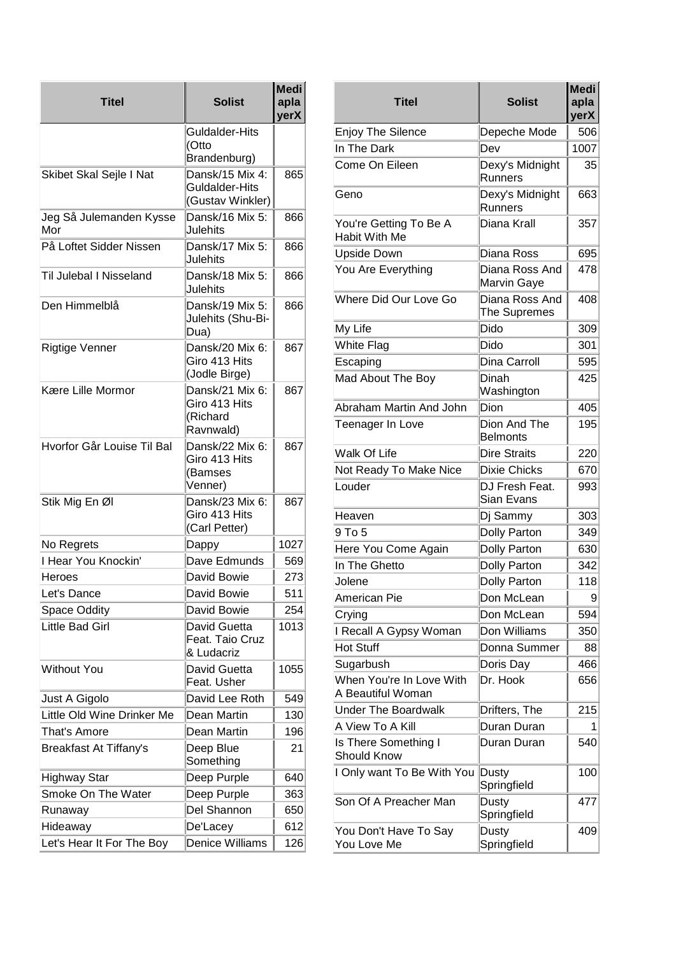| Titel                          | <b>Solist</b>                                             | <b>Medi</b><br>apla<br>yerX |
|--------------------------------|-----------------------------------------------------------|-----------------------------|
|                                | Guldalder-Hits                                            |                             |
|                                | (Otto<br>Brandenburg)                                     |                             |
| Skibet Skal Sejle I Nat        | Dansk/15 Mix 4:                                           | 865                         |
|                                | Guldalder-Hits                                            |                             |
|                                | (Gustav Winkler)                                          |                             |
| Jeg Så Julemanden Kysse<br>Mor | Dansk/16 Mix 5:<br>Julehits                               | 866                         |
| På Loftet Sidder Nissen        | Dansk/17 Mix 5:<br>Julehits                               | 866                         |
| Til Julebal I Nisseland        | Dansk/18 Mix 5:<br>Julehits                               | 866                         |
| Den Himmelblå                  | Dansk/19 Mix 5:<br>Julehits (Shu-Bi-<br>Dua)              | 866                         |
| Rigtige Venner                 | Dansk/20 Mix 6:<br>Giro 413 Hits<br>(Jodle Birge)         | 867                         |
| Kære Lille Mormor              | Dansk/21 Mix 6:<br>Giro 413 Hits<br>(Richard<br>Ravnwald) | 867                         |
| Hvorfor Går Louise Til Bal     | Dansk/22 Mix 6:<br>Giro 413 Hits<br>(Bamses<br>Venner)    | 867                         |
| Stik Mig En Øl                 | Dansk/23 Mix 6:<br>Giro 413 Hits<br>(Carl Petter)         | 867                         |
| No Regrets                     | Dappy                                                     | 1027                        |
| I Hear You Knockin'            | Dave Edmunds                                              | 569                         |
| Heroes                         | David Bowie                                               | 273                         |
| Let's Dance                    | David Bowie                                               | 511                         |
| Space Oddity                   | David Bowie                                               | 254                         |
| Little Bad Girl                | David Guetta<br>Feat. Taio Cruz<br>& Ludacriz             | 1013                        |
| <b>Without You</b>             | David Guetta<br>Feat. Usher                               | 1055                        |
| Just A Gigolo                  | David Lee Roth                                            | 549                         |
| Little Old Wine Drinker Me     | Dean Martin                                               | 130                         |
| That's Amore                   | Dean Martin                                               | 196                         |
| <b>Breakfast At Tiffany's</b>  | Deep Blue<br>Something                                    | 21                          |
| <b>Highway Star</b>            | Deep Purple                                               | 640                         |
| Smoke On The Water             | Deep Purple                                               | 363                         |
| Runaway                        | Del Shannon                                               | 650                         |
| Hideaway                       | De'Lacey                                                  | 612                         |
| Let's Hear It For The Boy      | Denice Williams                                           | 126                         |

| Medi<br>apla<br>yerX | <b>Titel</b>                                  | <b>Solist</b>                   | <b>Medi</b><br>apla<br>yerX |
|----------------------|-----------------------------------------------|---------------------------------|-----------------------------|
|                      | Enjoy The Silence                             | Depeche Mode                    | 506                         |
|                      | In The Dark                                   | Dev                             | 1007                        |
| 865                  | Come On Eileen                                | Dexy's Midnight<br>Runners      | 35                          |
| 866                  | Geno                                          | Dexy's Midnight<br>Runners      | 663                         |
|                      | You're Getting To Be A<br>Habit With Me       | Diana Krall                     | 357                         |
| 866                  | <b>Upside Down</b>                            | Diana Ross                      | 695                         |
| 866                  | You Are Everything                            | Diana Ross And<br>Marvin Gaye   | 478                         |
| 866                  | Where Did Our Love Go                         | Diana Ross And<br>The Supremes  | 408                         |
|                      | My Life                                       | Dido                            | 309                         |
| 867                  | White Flag                                    | Dido                            | 301                         |
|                      | Escaping                                      | Dina Carroll                    | 595                         |
| 867                  | Mad About The Boy                             | Dinah<br>Washington             | 425                         |
|                      | Abraham Martin And John                       | Dion                            | 405                         |
|                      | Teenager In Love                              | Dion And The<br><b>Belmonts</b> | 195                         |
| 867                  | Walk Of Life                                  | <b>Dire Straits</b>             | 220                         |
|                      | Not Ready To Make Nice                        | Dixie Chicks                    | 670                         |
| 867                  | Louder                                        | DJ Fresh Feat.<br>Sian Evans    | 993                         |
|                      | Heaven                                        | Dj Sammy                        | 303                         |
|                      | 9 To 5                                        | <b>Dolly Parton</b>             | 349                         |
| 1027                 | Here You Come Again                           | Dolly Parton                    | 630                         |
| 569                  | In The Ghetto                                 | <b>Dolly Parton</b>             | 342                         |
| 273                  | Jolene                                        | Dolly Parton                    | 118                         |
| 511                  | American Pie                                  | Don McLean                      | 9                           |
| 254                  | Crying                                        | Don McLean                      | 594                         |
| 1013                 | Recall A Gypsy Woman                          | Don Williams                    | 350                         |
|                      | <b>Hot Stuff</b>                              | Donna Summer                    | 88                          |
| 1055                 | Sugarbush                                     | Doris Day                       | 466                         |
| 549                  | When You're In Love With<br>A Beautiful Woman | Dr. Hook                        | 656                         |
| 130                  | <b>Under The Boardwalk</b>                    | Drifters, The                   | 215                         |
| 196                  | A View To A Kill                              | Duran Duran                     |                             |
| 21                   | Is There Something I<br><b>Should Know</b>    | Duran Duran                     | 540                         |
| 640                  | I Only want To Be With You                    | Dusty<br>Springfield            | 100                         |
| 363<br>650           | Son Of A Preacher Man                         | Dusty<br>Springfield            | 477                         |
| 612<br>126           | You Don't Have To Say<br>You Love Me          | Dusty<br>Springfield            | 409                         |
|                      |                                               |                                 |                             |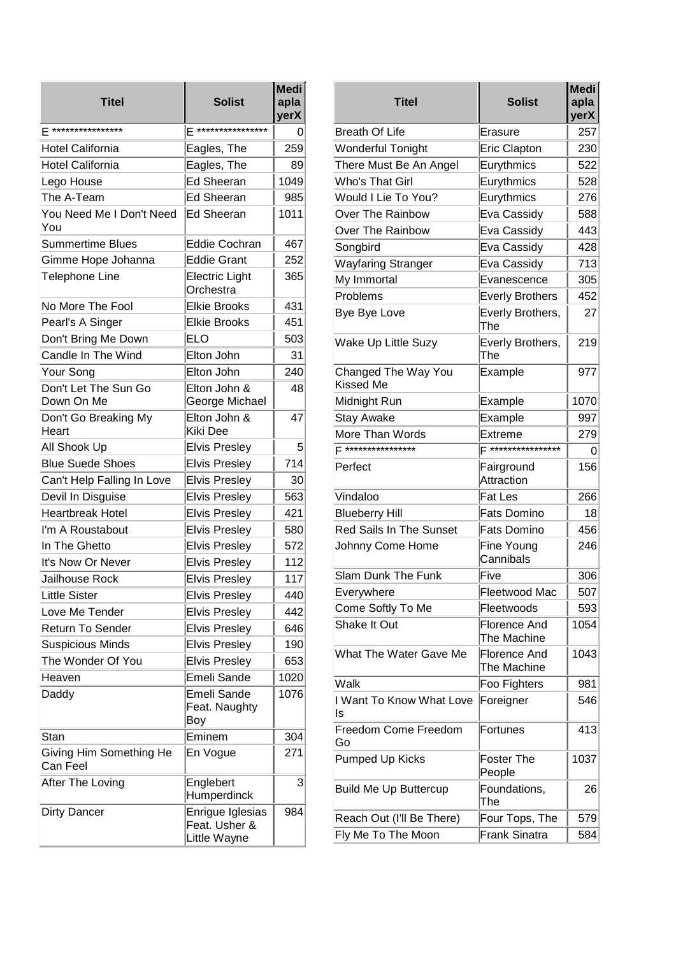| <b>Titel</b>                        | <b>Solist</b>                                     | <b>Medi</b><br>apla<br>yerX |
|-------------------------------------|---------------------------------------------------|-----------------------------|
| F ****************                  | ****************<br>F                             | O                           |
| <b>Hotel California</b>             | Eagles, The                                       | 259                         |
| <b>Hotel California</b>             | Eagles, The                                       | 89                          |
| Lego House                          | <b>Ed Sheeran</b>                                 | 1049                        |
| The A-Team                          | Ed Sheeran                                        | 985                         |
| You Need Me I Don't Need<br>You     | <b>Ed Sheeran</b>                                 | 1011                        |
| <b>Summertime Blues</b>             | <b>Eddie Cochran</b>                              | 467                         |
| Gimme Hope Johanna                  | <b>Eddie Grant</b>                                | 252                         |
| Telephone Line                      | <b>Electric Light</b><br>Orchestra                | 365                         |
| No More The Fool                    | <b>Elkie Brooks</b>                               | 431                         |
| Pearl's A Singer                    | <b>Elkie Brooks</b>                               | 451                         |
| Don't Bring Me Down                 | ELO                                               | 503                         |
| Candle In The Wind                  | Elton John                                        | 31                          |
| Your Song                           | Elton John                                        | 240                         |
| Don't Let The Sun Go<br>Down On Me  | Elton John &<br>George Michael                    | 48                          |
| Don't Go Breaking My<br>Heart       | Elton John &<br>Kiki Dee                          | 47                          |
| All Shook Up                        | <b>Elvis Presley</b>                              | 5                           |
| <b>Blue Suede Shoes</b>             | <b>Elvis Presley</b>                              | 714                         |
| Can't Help Falling In Love          | <b>Elvis Presley</b>                              | 30                          |
| Devil In Disguise                   | <b>Elvis Presley</b>                              | 563                         |
| <b>Heartbreak Hotel</b>             | <b>Elvis Presley</b>                              | 421                         |
| I'm A Roustabout                    | <b>Elvis Presley</b>                              | 580                         |
| In The Ghetto                       | <b>Elvis Presley</b>                              | 572                         |
| It's Now Or Never                   | <b>Elvis Presley</b>                              | 112                         |
| Jailhouse Rock                      | <b>Elvis Presley</b>                              | 117                         |
| <b>Little Sister</b>                | <b>Elvis Presley</b>                              | 440                         |
| Love Me Tender                      | <b>Elvis Presley</b>                              | 442                         |
| <b>Return To Sender</b>             | <b>Elvis Presley</b>                              | 646                         |
| <b>Suspicious Minds</b>             | <b>Elvis Presley</b>                              | 190                         |
| The Wonder Of You                   | <b>Elvis Presley</b>                              | 653                         |
| Heaven                              | Emeli Sande                                       | 1020                        |
| Daddy                               | Emeli Sande<br>Feat. Naughty<br>Boy               | 1076                        |
| Stan                                | Eminem                                            | 304                         |
| Giving Him Something He<br>Can Feel | En Vogue                                          | 271                         |
| After The Loving                    | Englebert<br>Humperdinck                          | 3                           |
| Dirty Dancer                        | Enrigue Iglesias<br>Feat. Usher &<br>Little Wayne | 984                         |

| <b>Titel</b>                     | <b>Solist</b>                      | <b>Medi</b><br>apla<br>yerX |
|----------------------------------|------------------------------------|-----------------------------|
| <b>Breath Of Life</b>            | Erasure                            | 257                         |
| Wonderful Tonight                | Eric Clapton                       | 230                         |
| There Must Be An Angel           | Eurythmics                         | 522                         |
| Who's That Girl                  | Eurythmics                         | 528                         |
| Would I Lie To You?              | Eurythmics                         | 276                         |
| Over The Rainbow                 | Eva Cassidy                        | 588                         |
| Over The Rainbow                 | Eva Cassidy                        | 443                         |
| Songbird                         | Eva Cassidy                        | 428                         |
| Wayfaring Stranger               | Eva Cassidy                        | 713                         |
| My Immortal                      | Evanescence                        | 305                         |
| Problems                         | <b>Everly Brothers</b>             | 452                         |
| <b>Bye Bye Love</b>              | Everly Brothers,<br>The            | 27                          |
| Wake Up Little Suzy              | Everly Brothers,<br>The            | 219                         |
| Changed The Way You<br>Kissed Me | Example                            | 977                         |
| Midnight Run                     | Example                            | 1070                        |
| <b>Stay Awake</b>                | Example                            | 997                         |
| More Than Words                  | Extreme                            | 279                         |
| ****************                 | ****************                   | 0                           |
| Perfect                          | Fairground<br>Attraction           | 156                         |
| Vindaloo                         | Fat Les                            | 266                         |
| <b>Blueberry Hill</b>            | <b>Fats Domino</b>                 | 18                          |
| <b>Red Sails In The Sunset</b>   | <b>Fats Domino</b>                 | 456                         |
| Johnny Come Home                 | Fine Young<br>Cannibals            | 246                         |
| Slam Dunk The Funk               | Five                               | 306                         |
| Everywhere                       | Fleetwood Mac                      | 507                         |
| Come Softly To Me                | Fleetwoods                         | 593                         |
| Shake It Out                     | <b>Florence And</b><br>The Machine | 1054                        |
| What The Water Gave Me           | Florence And<br>The Machine        | 1043                        |
| Walk                             | Foo Fighters                       | 981                         |
| I Want To Know What Love<br>ls   | Foreigner                          | 546                         |
| Freedom Come Freedom<br>Go       | Fortunes                           | 413                         |
| Pumped Up Kicks                  | Foster The<br>People               | 1037                        |
| <b>Build Me Up Buttercup</b>     | Foundations,<br>The                | 26                          |
| Reach Out (I'll Be There)        | Four Tops, The                     | 579                         |
| Fly Me To The Moon               | Frank Sinatra                      | 584                         |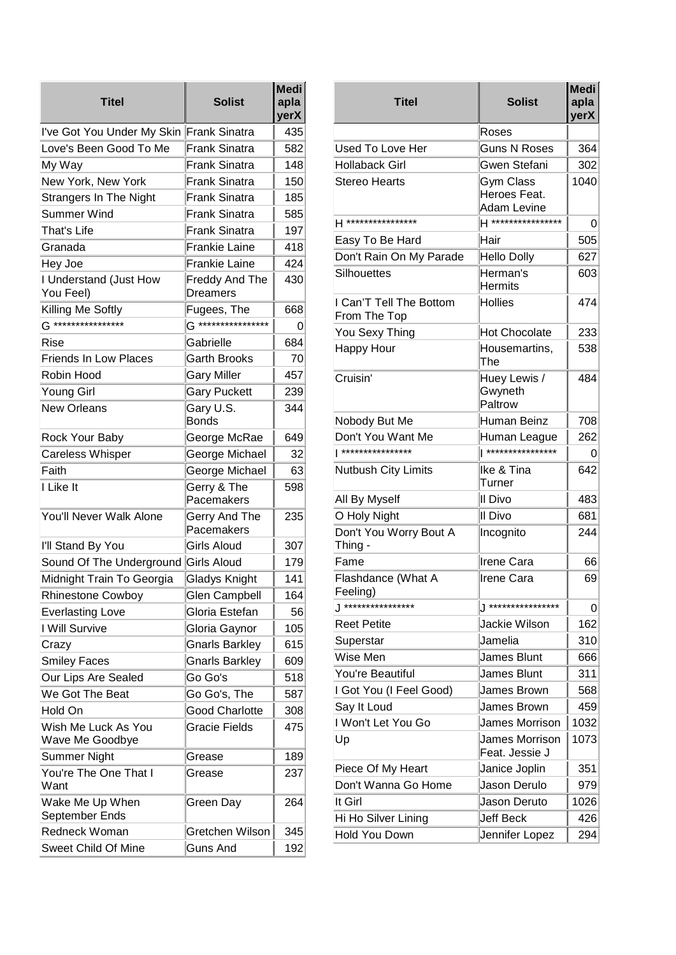| <b>Titel</b>                           | <b>Solist</b>                    | <b>Medi</b><br>apla<br>yerX |
|----------------------------------------|----------------------------------|-----------------------------|
| I've Got You Under My Skin             | Frank Sinatra                    | 435                         |
| Love's Been Good To Me                 | <b>Frank Sinatra</b>             | 582                         |
| My Way                                 | Frank Sinatra                    | 148                         |
| New York, New York                     | Frank Sinatra                    | 150                         |
| <b>Strangers In The Night</b>          | Frank Sinatra                    | 185                         |
| Summer Wind                            | Frank Sinatra                    | 585                         |
| That's Life                            | <b>Frank Sinatra</b>             | 197                         |
| Granada                                | <b>Frankie Laine</b>             | 418                         |
| Hey Joe                                | <b>Frankie Laine</b>             | 424                         |
| I Understand (Just How<br>You Feel)    | Freddy And The<br>Dreamers       | 430                         |
| Killing Me Softly                      | Fugees, The                      | 668                         |
| $G$ *****************                  | $G$ <sup>*****************</sup> | 0                           |
| Rise                                   | Gabrielle                        | 684                         |
| <b>Friends In Low Places</b>           | <b>Garth Brooks</b>              | 70                          |
| Robin Hood                             | <b>Gary Miller</b>               | 457                         |
| Young Girl                             | <b>Gary Puckett</b>              | 239                         |
| <b>New Orleans</b>                     | Gary U.S.<br><b>Bonds</b>        | 344                         |
| Rock Your Baby                         | George McRae                     | 649                         |
| <b>Careless Whisper</b>                | George Michael                   | 32                          |
| Faith                                  | George Michael                   | 63                          |
| I Like It                              | Gerry & The<br>Pacemakers        | 598                         |
| You'll Never Walk Alone                | Gerry And The<br>Pacemakers      | 235                         |
| I'll Stand By You                      | Girls Aloud                      | 307                         |
| Sound Of The Underground               | Girls Aloud                      | 179                         |
| Midnight Train To Georgia              | <b>Gladys Knight</b>             | 141                         |
| <b>Rhinestone Cowboy</b>               | <b>Glen Campbell</b>             | 164                         |
| <b>Everlasting Love</b>                | Gloria Estefan                   | 56                          |
| I Will Survive                         | Gloria Gaynor                    | 105                         |
| Crazy                                  | <b>Gnarls Barkley</b>            | 615                         |
| <b>Smiley Faces</b>                    | <b>Gnarls Barkley</b>            | 609                         |
| Our Lips Are Sealed                    | Go Go's                          | 518                         |
| We Got The Beat                        | Go Go's, The                     | 587                         |
| Hold On                                | <b>Good Charlotte</b>            | 308                         |
| Wish Me Luck As You<br>Wave Me Goodbye | <b>Gracie Fields</b>             | 475                         |
| Summer Night                           | Grease                           | 189                         |
| You're The One That I<br>Want          | Grease                           | 237                         |
| Wake Me Up When<br>September Ends      | Green Day                        | 264                         |
| Redneck Woman                          | Gretchen Wilson                  | 345                         |
| <b>Sweet Child Of Mine</b>             | <b>Guns And</b>                  | 192                         |

| <b>Titel</b>                            | <b>Solist</b>                                   | <b>Medi</b><br>apla<br>yerX |
|-----------------------------------------|-------------------------------------------------|-----------------------------|
|                                         | Roses                                           |                             |
| Used To Love Her                        | <b>Guns N Roses</b>                             | 364                         |
| Hollaback Girl                          | Gwen Stefani                                    | 302                         |
| Stereo Hearts                           | Gym Class<br>Heroes Feat.<br><b>Adam Levine</b> | 1040                        |
| H ****************                      | H ****************                              | 0                           |
| Easy To Be Hard                         | Hair                                            | 505                         |
| Don't Rain On My Parade                 | <b>Hello Dolly</b>                              | 627                         |
| Silhouettes                             | Herman's<br><b>Hermits</b>                      | 603                         |
| I Can'T Tell The Bottom<br>From The Top | <b>Hollies</b>                                  | 474                         |
| You Sexy Thing                          | <b>Hot Chocolate</b>                            | 233                         |
| Happy Hour                              | Housemartins,<br>The                            | 538                         |
| Cruisin'                                | Huey Lewis /<br>Gwyneth<br>Paltrow              | 484                         |
| Nobody But Me                           | Human Beinz                                     | 708                         |
| Don't You Want Me                       | Human League                                    | 262                         |
| ****************                        | ****************                                | 0                           |
| Nutbush City Limits                     | Ike & Tina<br>Turner                            | 642                         |
| All By Myself                           | II Divo                                         | 483                         |
| O Holy Night                            | II Divo                                         | 681                         |
| Don't You Worry Bout A<br>Thing -       | Incognito                                       | 244                         |
| Fame                                    | Irene Cara                                      | 66                          |
| Flashdance (What A<br>Feeling)          | <b>Irene Cara</b>                               | 69                          |
| $\sqrt$ ****************                | ****************                                | 0                           |
| <b>Reet Petite</b>                      | Jackie Wilson                                   | 162                         |
| Superstar                               | Jamelia                                         | 310                         |
| Wise Men                                | James Blunt                                     | 666                         |
| You're Beautiful                        | James Blunt                                     | 311                         |
| I Got You (I Feel Good)                 | James Brown                                     | 568                         |
| Say It Loud                             | James Brown                                     | 459                         |
| I Won't Let You Go                      | James Morrison                                  | 1032                        |
| Up                                      | James Morrison<br>Feat. Jessie J                | 1073                        |
| Piece Of My Heart                       | Janice Joplin                                   | 351                         |
| Don't Wanna Go Home                     | Jason Derulo                                    | 979                         |
| llt Girl                                | Jason Deruto                                    | 1026                        |
| Hi Ho Silver Lining                     | Jeff Beck                                       | 426                         |
| Hold You Down                           | Jennifer Lopez                                  | 294                         |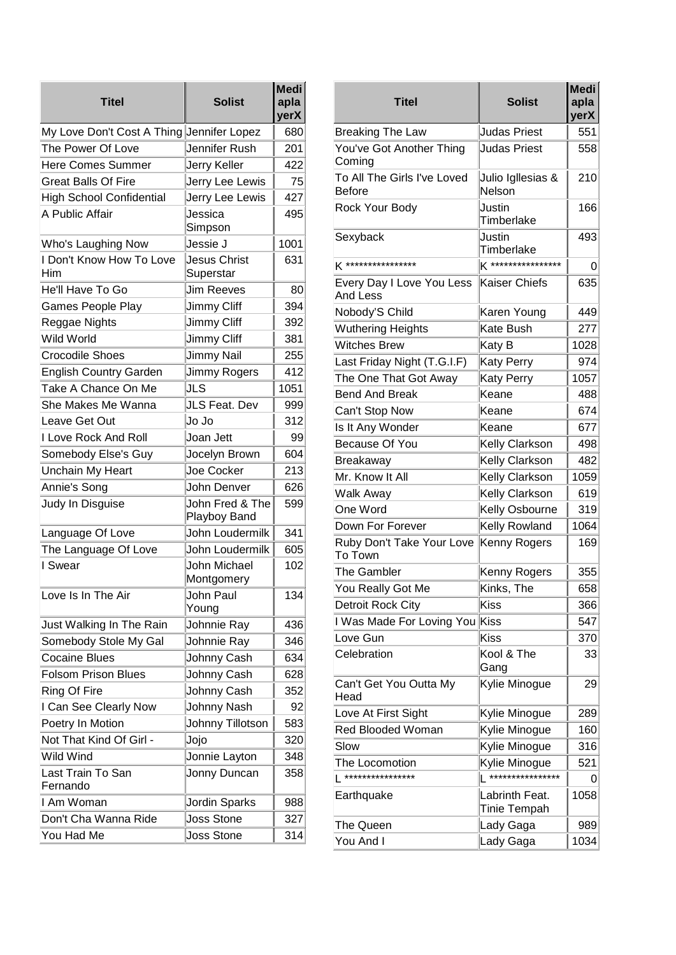| <b>Titel</b>                              | <b>Solist</b>                   | <b>Medi</b><br>apla<br>yerX |
|-------------------------------------------|---------------------------------|-----------------------------|
| My Love Don't Cost A Thing Jennifer Lopez |                                 | 680                         |
| The Power Of Love                         | Jennifer Rush                   | 201                         |
| <b>Here Comes Summer</b>                  | Jerry Keller                    | 422                         |
| <b>Great Balls Of Fire</b>                | Jerry Lee Lewis                 | 75                          |
| <b>High School Confidential</b>           | Jerry Lee Lewis                 | 427                         |
| A Public Affair                           | Jessica<br>Simpson              | 495                         |
| Who's Laughing Now                        | Jessie J                        | 1001                        |
| I Don't Know How To Love<br>Him           | Jesus Christ<br>Superstar       | 631                         |
| He'll Have To Go                          | <b>Jim Reeves</b>               | 80                          |
| <b>Games People Play</b>                  | Jimmy Cliff                     | 394                         |
| Reggae Nights                             | Jimmy Cliff                     | 392                         |
| Wild World                                | <b>Jimmy Cliff</b>              | 381                         |
| <b>Crocodile Shoes</b>                    | Jimmy Nail                      | 255                         |
| <b>English Country Garden</b>             | Jimmy Rogers                    | 412                         |
| Take A Chance On Me                       | JLS                             | 1051                        |
| She Makes Me Wanna                        | JLS Feat. Dev                   | 999                         |
| Leave Get Out                             | Jo Jo                           | 312                         |
| I Love Rock And Roll                      | Joan Jett                       | 99                          |
| Somebody Else's Guy                       | Jocelyn Brown                   | 604                         |
| Unchain My Heart                          | Joe Cocker                      | 213                         |
| Annie's Song                              | John Denver                     | 626                         |
| Judy In Disguise                          | John Fred & The<br>Playboy Band | 599                         |
| Language Of Love                          | John Loudermilk                 | 341                         |
| The Language Of Love                      | John Loudermilk                 | 605                         |
| I Swear                                   | John Michael<br>Montgomery      | 102                         |
| Love Is In The Air                        | John Paul<br>Young              | 134                         |
| Just Walking In The Rain                  | Johnnie Ray                     | 436                         |
| Somebody Stole My Gal                     | Johnnie Ray                     | 346                         |
| <b>Cocaine Blues</b>                      | Johnny Cash                     | 634                         |
| <b>Folsom Prison Blues</b>                | Johnny Cash                     | 628                         |
| Ring Of Fire                              | Johnny Cash                     | 352                         |
| I Can See Clearly Now                     | Johnny Nash                     | 92                          |
| Poetry In Motion                          | Johnny Tillotson                | 583                         |
| Not That Kind Of Girl -                   | Jojo                            | 320                         |
| Wild Wind                                 | Jonnie Layton                   | 348                         |
| Last Train To San<br>Fernando             | Jonny Duncan                    | 358                         |
| I Am Woman                                | Jordin Sparks                   | 988                         |
| Don't Cha Wanna Ride                      | <b>Joss Stone</b>               | 327                         |
| You Had Me                                | <b>Joss Stone</b>               | 314                         |

| Medi<br>apla<br>yerX | <b>Titel</b>                          | <b>Solist</b>                  | <b>Medi</b><br>apla<br>yerX |
|----------------------|---------------------------------------|--------------------------------|-----------------------------|
| 680                  | <b>Breaking The Law</b>               | <b>Judas Priest</b>            | 551                         |
| 201<br>422           | You've Got Another Thing<br>Coming    | <b>Judas Priest</b>            | 558                         |
| 75                   | To All The Girls I've Loved<br>Before | Julio Igllesias &<br>Nelson    | 210                         |
| 427                  | Rock Your Body                        | Justin                         | 166                         |
| 495                  |                                       | Timberlake                     |                             |
| 1001                 | Sexyback                              | Justin<br>Timberlake           | 493                         |
| 631                  | K ****************                    | K ****************             | 0                           |
| 80                   | Every Day I Love You Less<br>And Less | Kaiser Chiefs                  | 635                         |
| 394                  | Nobody'S Child                        | Karen Young                    | 449                         |
| 392                  | <b>Wuthering Heights</b>              | Kate Bush                      | 277                         |
| 381                  | <b>Witches Brew</b>                   | Katy B                         | 1028                        |
| 255                  | Last Friday Night (T.G.I.F)           | Katy Perry                     | 974                         |
| 412                  | The One That Got Away                 | Katy Perry                     | 1057                        |
| 1051                 | <b>Bend And Break</b>                 | Keane                          | 488                         |
| 999                  | Can't Stop Now                        | Keane                          | 674                         |
| 312                  | Is It Any Wonder                      | Keane                          | 677                         |
| 99                   | Because Of You                        | Kelly Clarkson                 |                             |
| 604                  |                                       | Kelly Clarkson                 | 498<br>482                  |
| 213                  | Breakaway<br>Mr. Know It All          | Kelly Clarkson                 | 1059                        |
| 626                  |                                       |                                | 619                         |
| 599                  | Walk Away<br>One Word                 | Kelly Clarkson                 |                             |
|                      |                                       | Kelly Osbourne                 | 319                         |
| 341                  | Down For Forever                      | Kelly Rowland                  | 1064                        |
| 605<br>102           | Ruby Don't Take Your Love<br>To Town  | Kenny Rogers                   | 169                         |
|                      | The Gambler                           | Kenny Rogers                   | 355                         |
| 134                  | You Really Got Me                     | Kinks, The                     | 658                         |
|                      | Detroit Rock City                     | Kiss                           | 366                         |
| 436                  | I Was Made For Loving You             | Kiss                           | 547                         |
| 346                  | Love Gun                              | <b>Kiss</b>                    | 370                         |
| 634                  | Celebration                           | Kool & The<br>Gang             | 33                          |
| 628                  | Can't Get You Outta My                | Kylie Minogue                  | 29                          |
| 352                  | Head                                  |                                |                             |
| 92                   | Love At First Sight                   | Kylie Minogue                  | 289                         |
| 583                  | <b>Red Blooded Woman</b>              | Kylie Minogue                  | 160                         |
| 320                  | Slow                                  | Kylie Minogue                  | 316                         |
| 348                  | The Locomotion                        | Kylie Minogue                  | 521                         |
| 358                  | ****************                      | ****************               | 0                           |
| 988                  | Earthquake                            | Labrinth Feat.<br>Tinie Tempah | 1058                        |
| 327                  | The Queen                             | Lady Gaga                      | 989                         |
| 314                  | You And I                             | Lady Gaga                      | 1034                        |
|                      |                                       |                                |                             |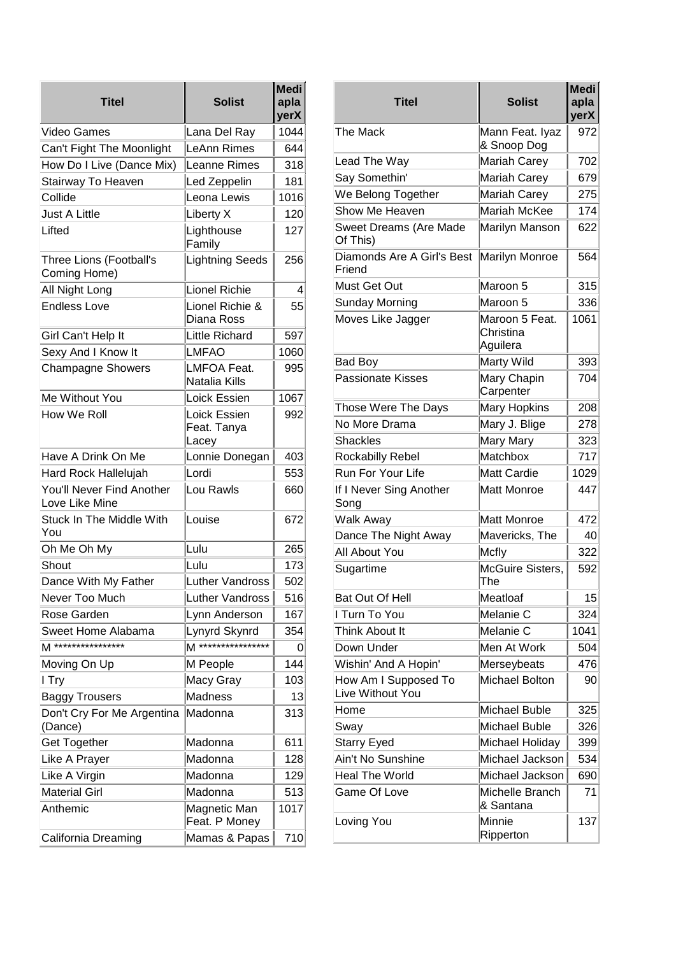| <b>Titel</b>                                | <b>Solist</b>                        | <b>Medi</b><br>apla<br>yerX |                       |
|---------------------------------------------|--------------------------------------|-----------------------------|-----------------------|
| Video Games                                 | Lana Del Ray                         | 1044                        | The                   |
| Can't Fight The Moonlight                   | LeAnn Rimes                          | 644                         |                       |
| How Do I Live (Dance Mix)                   | Leanne Rimes                         | 318                         | Lea                   |
| Stairway To Heaven                          | Led Zeppelin                         | 181                         | Say                   |
| Collide                                     | Leona Lewis                          | 1016                        | We                    |
| <b>Just A Little</b>                        | Liberty X                            | 120                         | Sho                   |
| Lifted                                      | Lighthouse<br>Family                 | 127                         | Sw<br>Of              |
| Three Lions (Football's<br>Coming Home)     | Lightning Seeds                      | 256                         | Dia<br>Frie           |
| All Night Long                              | Lionel Richie                        | 4                           | Mu:                   |
| <b>Endless Love</b>                         | Lionel Richie &<br>Diana Ross        | 55                          | Sur<br>Mo <sup></sup> |
| Girl Can't Help It                          | Little Richard                       | 597                         |                       |
| Sexy And I Know It                          | LMFAO                                | 1060                        |                       |
| <b>Champagne Showers</b>                    | LMFOA Feat.<br>Natalia Kills         | 995                         | Bao<br>Pas            |
| Me Without You                              | Loick Essien                         | 1067                        |                       |
| How We Roll                                 | Loick Essien<br>Feat. Tanya<br>Lacey | 992                         | Thc<br>No<br>Sh٤      |
| Have A Drink On Me                          | Lonnie Donegan                       | 403                         | Roo                   |
| Hard Rock Hallelujah                        | Lordi                                | 553                         | Rur                   |
| You'll Never Find Another<br>Love Like Mine | Lou Rawls                            | 660                         | f <br>Sor             |
| Stuck In The Middle With<br>You             | Louise                               | 672                         | Wa<br>Dar             |
| Oh Me Oh My                                 | Lulu                                 | 265                         | ، All                 |
| Shout                                       | Lulu                                 | 173                         | Sug                   |
| Dance With My Father                        | Luther Vandross                      | 502                         |                       |
| Never Too Much                              | <b>Luther Vandross</b>               | 516                         | Bat                   |
| Rose Garden                                 | Lynn Anderson                        | 167                         | l Tu                  |
| Sweet Home Alabama                          | Lynyrd Skynrd                        | 354                         | Thiı                  |
| M ****************                          | M *****************                  | O                           | D٥١                   |
| Moving On Up                                | M People                             | 144                         | Wis                   |
| I Try                                       | Macy Gray                            | 103                         | H٥١                   |
| <b>Baggy Trousers</b>                       | Madness                              | 13                          | Live                  |
| Don't Cry For Me Argentina<br>(Dance)       | Madonna                              | 313                         | Hor<br>Sw             |
| <b>Get Together</b>                         | Madonna                              | 611                         | Sta                   |
| Like A Prayer                               | Madonna                              | 128                         | Ain                   |
| Like A Virgin                               | Madonna                              | 129                         | Hea                   |
| <b>Material Girl</b>                        | Madonna                              | 513                         | Gaı                   |
| Anthemic                                    | Magnetic Man<br>Feat. P Money        | 1017                        | Lov                   |
| California Dreaming                         | Mamas & Papas                        | 710                         |                       |

| <b>Titel</b>                             | <b>Solist</b>                           | <b>Medi</b><br>apla<br>yerX |
|------------------------------------------|-----------------------------------------|-----------------------------|
| The Mack                                 | Mann Feat. Iyaz<br>& Snoop Dog          | 972                         |
| Lead The Way                             | <b>Mariah Carey</b>                     | 702                         |
| Say Somethin'                            | <b>Mariah Carey</b>                     | 679                         |
| We Belong Together                       | <b>Mariah Carey</b>                     | 275                         |
| Show Me Heaven                           | Mariah McKee                            | 174                         |
| Sweet Dreams (Are Made<br>Of This)       | Marilyn Manson                          | 622                         |
| Diamonds Are A Girl's Best<br>Friend     | Marilyn Monroe                          | 564                         |
| Must Get Out                             | Maroon 5                                | 315                         |
| Sunday Morning                           | Maroon 5                                | 336                         |
| Moves Like Jagger                        | Maroon 5 Feat.<br>Christina<br>Aguilera | 1061                        |
| <b>Bad Boy</b>                           | Marty Wild                              | 393                         |
| <b>Passionate Kisses</b>                 | Mary Chapin<br>Carpenter                | 704                         |
| Those Were The Days                      | <b>Mary Hopkins</b>                     | 208                         |
| No More Drama                            | Mary J. Blige                           | 278                         |
| <b>Shackles</b>                          | Mary Mary                               | 323                         |
| Rockabilly Rebel                         | Matchbox                                | 717                         |
| Run For Your Life                        | <b>Matt Cardie</b>                      | 1029                        |
| If I Never Sing Another<br>Song          | <b>Matt Monroe</b>                      | 447                         |
| <b>Walk Away</b>                         | <b>Matt Monroe</b>                      | 472                         |
| Dance The Night Away                     | Mavericks, The                          | 40                          |
| All About You                            | <b>Mcfly</b>                            | 322                         |
| Sugartime                                | McGuire Sisters,<br>i ne                | 592                         |
| Bat Out Of Hell                          | Meatloaf                                | 15                          |
| I Turn To You                            | Melanie C                               | 324                         |
| Think About It                           | Melanie C                               | 1041                        |
| Down Under                               | Men At Work                             | 504                         |
| Wishin' And A Hopin'                     | Merseybeats                             | 476                         |
| How Am I Supposed To<br>Live Without You | <b>Michael Bolton</b>                   | 90                          |
| Home                                     | Michael Buble                           | 325                         |
| Sway                                     | Michael Buble                           | 326                         |
| Starry Eyed                              | Michael Holiday                         | 399                         |
| Ain't No Sunshine                        | Michael Jackson                         | 534                         |
| <b>Heal The World</b>                    | Michael Jackson                         | 690                         |
| <b>Game Of Love</b>                      | Michelle Branch<br>& Santana            | 71                          |
| Loving You                               | Minnie<br>Ripperton                     | 137                         |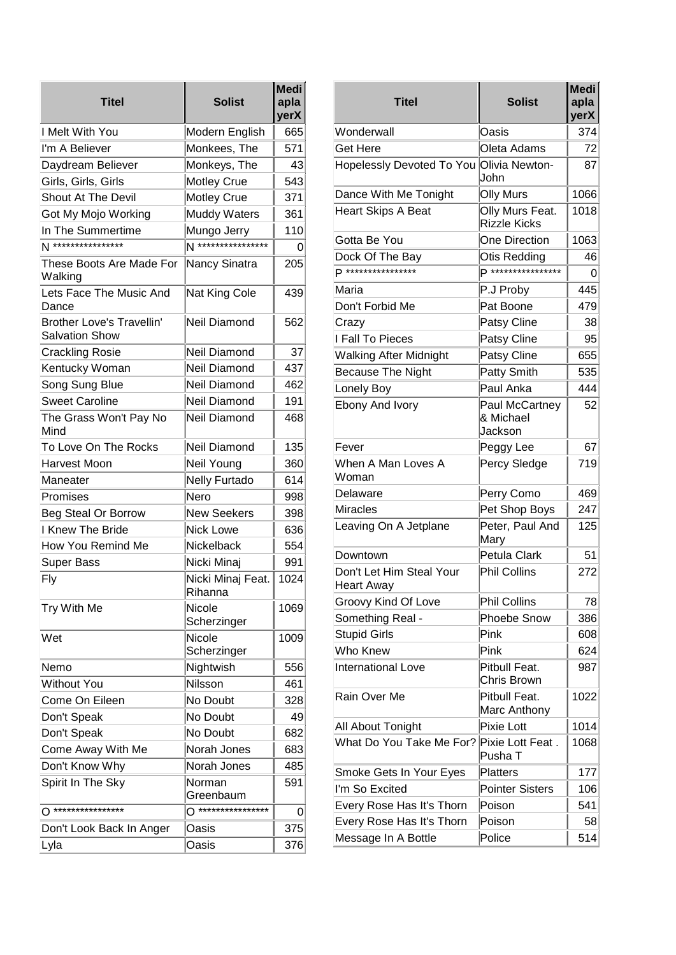| <b>Titel</b>                                              | <b>Solist</b>                | <b>Medi</b><br>apla<br>yerX |
|-----------------------------------------------------------|------------------------------|-----------------------------|
| I Melt With You                                           | Modern English               | 665                         |
| I'm A Believer                                            | Monkees, The                 | 571                         |
| Daydream Believer                                         | Monkeys, The                 | 43                          |
| Girls, Girls, Girls                                       | Motley Crue                  | 543                         |
| <b>Shout At The Devil</b>                                 | Motley Crue                  | 371                         |
| Got My Mojo Working                                       | <b>Muddy Waters</b>          | 361                         |
| In The Summertime                                         | Mungo Jerry                  | 110                         |
| N ****************                                        | N ****************           | 0                           |
| These Boots Are Made For<br>Walking                       | Nancy Sinatra                | 205                         |
| Lets Face The Music And<br>Dance                          | Nat King Cole                | 439                         |
| <b>Brother Love's Travellin'</b><br><b>Salvation Show</b> | Neil Diamond                 | 562                         |
| <b>Crackling Rosie</b>                                    | <b>Neil Diamond</b>          | 37                          |
| Kentucky Woman                                            | Neil Diamond                 | 437                         |
| Song Sung Blue                                            | Neil Diamond                 | 462                         |
| <b>Sweet Caroline</b>                                     | Neil Diamond                 | 191                         |
| The Grass Won't Pay No<br>Mind                            | Neil Diamond                 | 468                         |
| To Love On The Rocks                                      | <b>Neil Diamond</b>          | 135                         |
| Harvest Moon                                              | Neil Young                   | 360                         |
| Maneater                                                  | <b>Nelly Furtado</b>         | 614                         |
| Promises                                                  | Nero                         | 998                         |
| Beg Steal Or Borrow                                       | <b>New Seekers</b>           | 398                         |
| I Knew The Bride                                          | <b>Nick Lowe</b>             | 636                         |
| How You Remind Me                                         | Nickelback                   | 554                         |
| <b>Super Bass</b>                                         | Nicki Minaj                  | 991                         |
| Fly                                                       | Nicki Minaj Feat.<br>Rihanna | 1024                        |
| Try With Me                                               | Nicole<br>Scherzinger        | 1069                        |
| Wet                                                       | Nicole<br>Scherzinger        | 1009                        |
| Nemo                                                      | Nightwish                    | 556                         |
| Without You                                               | Nilsson                      | 461                         |
| Come On Eileen                                            | No Doubt                     | 328                         |
| Don't Speak                                               | No Doubt                     | 49                          |
| Don't Speak                                               | No Doubt                     | 682                         |
| Come Away With Me                                         | Norah Jones                  | 683                         |
| Don't Know Why                                            | Norah Jones                  | 485                         |
| Spirit In The Sky                                         | Norman<br>Greenbaum          | 591                         |
| ****************                                          | ****************             | 0                           |
| Don't Look Back In Anger                                  | Oasis                        | 375                         |
| Lyla                                                      | Oasis                        | 376                         |

| <b>Medi</b><br>apla<br>yerX | <b>Titel</b>                                  | <b>Solist</b>                          | Medi <sup> </sup><br>apla<br>yerX |
|-----------------------------|-----------------------------------------------|----------------------------------------|-----------------------------------|
| 665                         | Wonderwall                                    | Oasis                                  | 374                               |
| 571                         | Get Here                                      | Oleta Adams                            | 72                                |
| 43<br>543                   | Hopelessly Devoted To You Olivia Newton-      | John                                   | 87                                |
| 371                         | Dance With Me Tonight                         | <b>Olly Murs</b>                       | 1066                              |
| 361                         | <b>Heart Skips A Beat</b>                     | Olly Murs Feat.<br><b>Rizzle Kicks</b> | 1018                              |
| 110                         | Gotta Be You                                  | <b>One Direction</b>                   | 1063                              |
| 0                           | Dock Of The Bay                               | <b>Otis Redding</b>                    | 46                                |
| 205                         | D ****************                            | D ****************                     | 0                                 |
| 439                         | Maria                                         | P.J Proby                              | 445                               |
|                             | Don't Forbid Me                               | Pat Boone                              | 479                               |
| 562                         | Crazy                                         | Patsy Cline                            | 38                                |
|                             | I Fall To Pieces                              | Patsy Cline                            | 95                                |
| 37                          | <b>Walking After Midnight</b>                 | Patsy Cline                            | 655                               |
| 437                         | <b>Because The Night</b>                      | Patty Smith                            | 535                               |
| 462                         | Lonely Boy                                    | Paul Anka                              | 444                               |
| 191                         | <b>Ebony And Ivory</b>                        | Paul McCartney                         | 52                                |
| 468                         |                                               | & Michael<br>Jackson                   |                                   |
| 135                         | Fever                                         | Peggy Lee                              | 67                                |
| 360<br>614                  | When A Man Loves A<br>Woman                   | Percy Sledge                           | 719                               |
| 998                         | Delaware                                      | Perry Como                             | 469                               |
| 398                         | <b>Miracles</b>                               | Pet Shop Boys                          | 247                               |
| 636                         | Leaving On A Jetplane                         | Peter, Paul And<br>Mary                | 125                               |
| 554                         | Downtown                                      | Petula Clark                           | 51                                |
| 991<br>1024                 | Don't Let Him Steal Your<br><b>Heart Away</b> | <b>Phil Collins</b>                    | 272                               |
|                             | Groovy Kind Of Love                           | <b>Phil Collins</b>                    | 78                                |
| 1069                        | Something Real -                              | Phoebe Snow                            | 386                               |
| 1009                        | <b>Stupid Girls</b>                           | Pink                                   | 608                               |
|                             | Who Knew                                      | Pink                                   | 624                               |
| 556<br>461                  | <b>International Love</b>                     | Pitbull Feat.<br>Chris Brown           | 987                               |
| 328                         | Rain Over Me                                  | Pitbull Feat.                          | 1022                              |
| 49                          |                                               | Marc Anthony                           |                                   |
| 682                         | All About Tonight                             | Pixie Lott                             | 1014                              |
| 683                         | What Do You Take Me For?                      | Pixie Lott Feat.<br>Pusha T            | 1068                              |
| 485                         | Smoke Gets In Your Eyes                       | <b>Platters</b>                        | 177                               |
| 591                         | I'm So Excited                                | <b>Pointer Sisters</b>                 | 106                               |
| 0                           | Every Rose Has It's Thorn                     | Poison                                 | 541                               |
| 375                         | Every Rose Has It's Thorn                     | Poison                                 | 58                                |
| 376                         | Message In A Bottle                           | Police                                 | 514                               |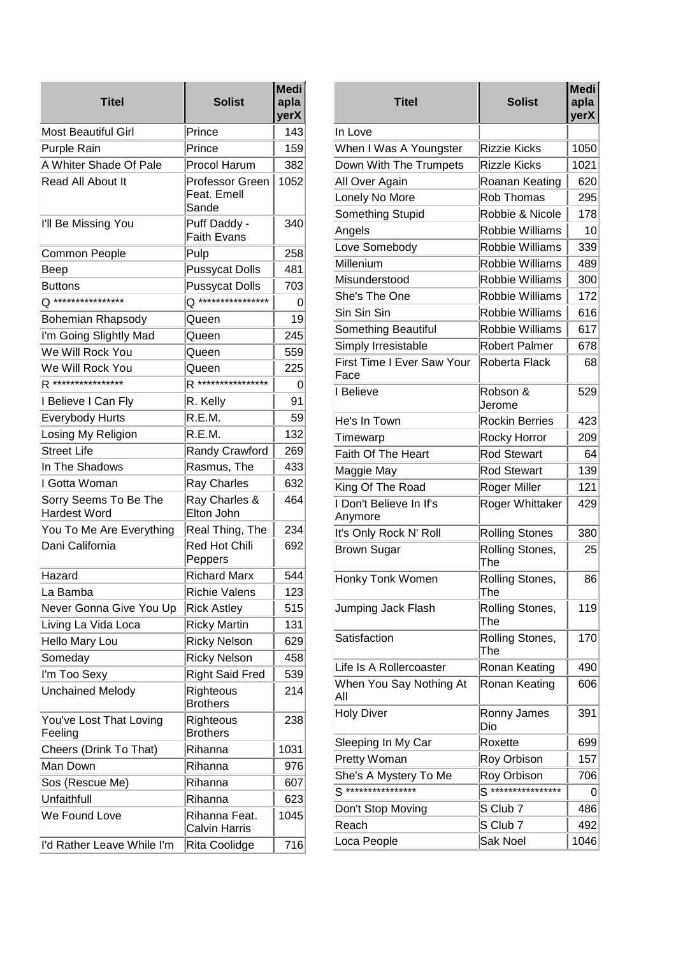| Titel                                 | <b>Solist</b>                           | <b>Medi</b><br>apla<br>yerX |
|---------------------------------------|-----------------------------------------|-----------------------------|
| <b>Most Beautiful Girl</b>            | Prince                                  | 143                         |
| <b>Purple Rain</b>                    | Prince                                  | 159                         |
| A Whiter Shade Of Pale                | Procol Harum                            | 382                         |
| Read All About It                     | Professor Green<br>Feat. Emell<br>Sande | 1052                        |
| I'll Be Missing You                   | Puff Daddy -<br><b>Faith Evans</b>      | 340                         |
| Common People                         | Pulp                                    | 258                         |
| Beep                                  | <b>Pussycat Dolls</b>                   | 481                         |
| <b>Buttons</b>                        | <b>Pussycat Dolls</b>                   | 703                         |
| ****************                      | ****************                        | 0                           |
| <b>Bohemian Rhapsody</b>              | Queen                                   | 19                          |
| I'm Going Slightly Mad                | Queen                                   | 245                         |
| We Will Rock You                      | Queen                                   | 559                         |
| We Will Rock You                      | Queen                                   | 225                         |
| R *****************                   | R ****************                      | 0                           |
| I Believe I Can Fly                   | R. Kelly                                | 91                          |
| <b>Everybody Hurts</b>                | R.E.M.                                  | 59                          |
| Losing My Religion                    | R.E.M.                                  | 132                         |
| <b>Street Life</b>                    | <b>Randy Crawford</b>                   | 269                         |
| In The Shadows                        | Rasmus, The                             | 433                         |
| I Gotta Woman                         | <b>Ray Charles</b>                      | 632                         |
| Sorry Seems To Be The<br>Hardest Word | Ray Charles &<br>Elton John             | 464                         |
| You To Me Are Everything              | Real Thing, The                         | 234                         |
| Dani California                       | <b>Red Hot Chili</b><br>Peppers         | 692                         |
| Hazard                                | <b>Richard Marx</b>                     | 544                         |
| La Bamba                              | Richie Valens                           | 123                         |
| Never Gonna Give You Up               | <b>Rick Astley</b>                      | 515                         |
| Living La Vida Loca                   | <b>Ricky Martin</b>                     | 131                         |
| Hello Mary Lou                        | <b>Ricky Nelson</b>                     | 629                         |
| Someday                               | <b>Ricky Nelson</b>                     | 458                         |
| I'm Too Sexy                          | <b>Right Said Fred</b>                  | 539                         |
| <b>Unchained Melody</b>               | Righteous<br><b>Brothers</b>            | 214                         |
| You've Lost That Loving               | Righteous                               | 238                         |
| Feeling                               | <b>Brothers</b>                         |                             |
| Cheers (Drink To That)                | Rihanna                                 | 1031                        |
| Man Down                              | Rihanna                                 | 976                         |
| Sos (Rescue Me)                       | Rihanna                                 | 607                         |
| Unfaithfull                           | Rihanna                                 | 623                         |
| We Found Love                         | Rihanna Feat.<br><b>Calvin Harris</b>   | 1045                        |
| I'd Rather Leave While I'm            | Rita Coolidge                           | 716                         |

| Medi<br>apla<br>yerX |                   | <b>Titel</b>               | <b>Solist</b>          | <b>Medi</b><br>apla<br>yerX |
|----------------------|-------------------|----------------------------|------------------------|-----------------------------|
| 143                  | In Love           |                            |                        |                             |
| 159                  |                   | When I Was A Youngster     | <b>Rizzie Kicks</b>    | 1050                        |
| 382                  |                   | Down With The Trumpets     | <b>Rizzle Kicks</b>    | 1021                        |
| 1052                 |                   | All Over Again             | Roanan Keating         | 620                         |
|                      |                   | Lonely No More             | <b>Rob Thomas</b>      | 295                         |
|                      |                   | Something Stupid           | Robbie & Nicole        | 178                         |
| 340                  | Angels            |                            | Robbie Williams        | 10                          |
| 258                  |                   | Love Somebody              | <b>Robbie Williams</b> | 339                         |
| 481                  | Millenium         |                            | <b>Robbie Williams</b> | 489                         |
| 703                  |                   | Misunderstood              | Robbie Williams        | 300                         |
| 0                    |                   | She's The One              | Robbie Williams        | 172                         |
| 19                   | Sin Sin Sin       |                            | Robbie Williams        | 616                         |
| 245                  |                   | Something Beautiful        | <b>Robbie Williams</b> | 617                         |
| 559                  |                   | Simply Irresistable        | <b>Robert Palmer</b>   | 678                         |
| 225                  | Face              | First Time I Ever Saw Your | Roberta Flack          | 68                          |
| 0<br>91              | I Believe         |                            | Robson &<br>Jerome     | 529                         |
| 59                   |                   | He's In Town               | <b>Rockin Berries</b>  | 423                         |
| 132                  | Timewarp          |                            | Rocky Horror           | 209                         |
| 269                  |                   | Faith Of The Heart         | <b>Rod Stewart</b>     | 64                          |
| 433                  |                   | Maggie May                 | <b>Rod Stewart</b>     | 139                         |
| 632                  |                   | King Of The Road           | Roger Miller           | 121                         |
| 464                  | Anymore           | I Don't Believe In If's    | Roger Whittaker        | 429                         |
| 234                  |                   | It's Only Rock N' Roll     | <b>Rolling Stones</b>  | 380                         |
| 692                  |                   | <b>Brown Sugar</b>         | Rolling Stones,<br>The | 25                          |
| 544<br>123           |                   | <b>Honky Tonk Women</b>    | Rolling Stones,<br>The | 86                          |
| 515<br>131           |                   | Jumping Jack Flash         | Rolling Stones,<br>The | 119                         |
| 629                  |                   | Satisfaction               | Rolling Stones,<br>The | 170                         |
| 458                  |                   | Life Is A Rollercoaster    | Ronan Keating          | 490                         |
| 539<br>214           | All               | When You Say Nothing At    | Ronan Keating          | 606                         |
| 238                  | <b>Holy Diver</b> |                            | Ronny James<br>Dio     | 391                         |
| 1031                 |                   | Sleeping In My Car         | Roxette                | 699                         |
| 976                  |                   | Pretty Woman               | Roy Orbison            | 157                         |
|                      |                   | She's A Mystery To Me      | Roy Orbison            | 706                         |
| 607                  |                   | S ****************         | S ****************     | 0                           |
| 623<br>1045          |                   | Don't Stop Moving          | S Club 7               | 486                         |
|                      | Reach             |                            | S Club 7               | 492                         |
| 716                  |                   | Loca People                | Sak Noel               | 1046                        |
|                      |                   |                            |                        |                             |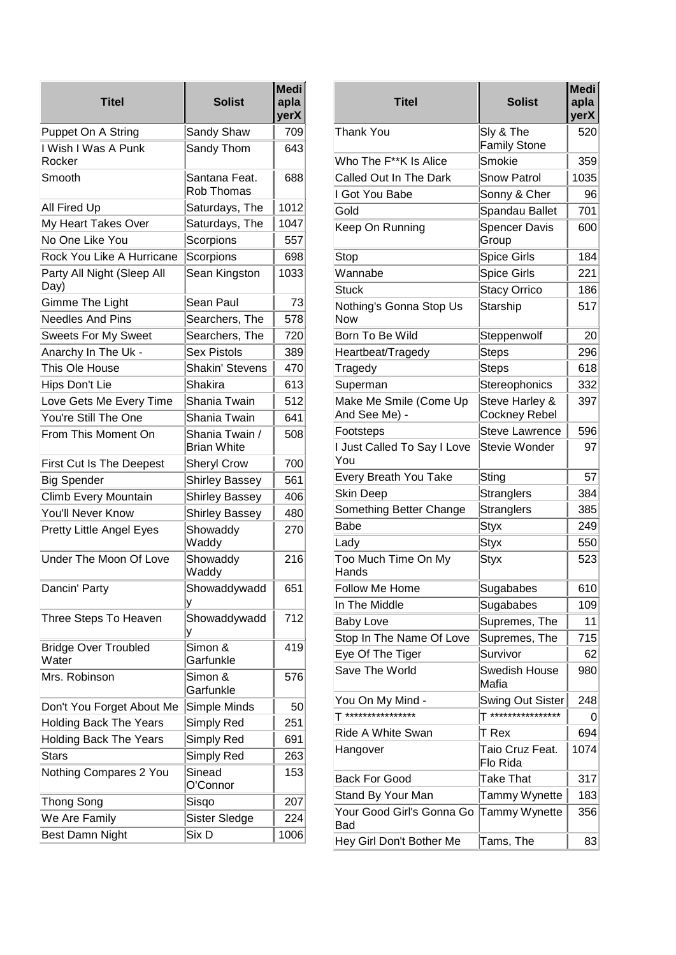| <b>Titel</b>                         | <b>Solist</b>                        | <b>Medi</b><br>apla<br>yerX |                         |
|--------------------------------------|--------------------------------------|-----------------------------|-------------------------|
| Puppet On A String                   | Sandy Shaw                           | 709                         | Tha                     |
| I Wish I Was A Punk<br>Rocker        | Sandy Thom                           | 643                         | Wh                      |
| Smooth                               | Santana Feat.<br><b>Rob Thomas</b>   | 688                         | Cal<br>l G              |
| All Fired Up                         | Saturdays, The                       | 1012                        | Gol                     |
| My Heart Takes Over                  | Saturdays, The                       | 1047                        | Kee                     |
| No One Like You                      | Scorpions                            | 557                         |                         |
| Rock You Like A Hurricane            | Scorpions                            | 698                         | Sto                     |
| Party All Night (Sleep All<br>Day)   | Sean Kingston                        | 1033                        | Wa<br>Stu               |
| Gimme The Light                      | Sean Paul                            | 73                          | Not                     |
| <b>Needles And Pins</b>              | Searchers, The                       | 578                         | Nov                     |
| <b>Sweets For My Sweet</b>           | Searchers, The                       | 720                         | Bor                     |
| Anarchy In The Uk -                  | Sex Pistols                          | 389                         | Hea                     |
| This Ole House                       | <b>Shakin' Stevens</b>               | 470                         | Tra                     |
| Hips Don't Lie                       | Shakira                              | 613                         | Sup                     |
| Love Gets Me Every Time              | Shania Twain                         | 512                         | Mal                     |
| You're Still The One                 | Shania Twain                         | 641                         | Ano                     |
| From This Moment On                  | Shania Twain /<br><b>Brian White</b> | 508                         | Foc<br>I Ju             |
| First Cut Is The Deepest             | <b>Sheryl Crow</b>                   | 700                         | Υοι                     |
| <b>Big Spender</b>                   | <b>Shirley Bassey</b>                | 561                         | Eve                     |
| Climb Every Mountain                 | Shirley Bassey                       | 406                         | Ski                     |
| You'll Never Know                    | <b>Shirley Bassey</b>                | 480                         | Sor                     |
| <b>Pretty Little Angel Eyes</b>      | Showaddy<br>Waddy                    | 270                         | Bał<br>Lac              |
| Under The Moon Of Love               | Showaddy<br>Waddy                    | 216                         | Toc<br>Har              |
| Dancin' Party                        | Showaddywadd<br>у                    | 651                         | Foll<br>In <sub>1</sub> |
| Three Steps To Heaven                | Showaddywadd                         | 712                         | Bab<br>Sto              |
| <b>Bridge Over Troubled</b><br>Water | Simon &<br>Garfunkle                 | 419                         | Ey€                     |
| Mrs. Robinson                        | Simon &<br>Garfunkle                 | 576                         | Sa۱                     |
| Don't You Forget About Me            | Simple Minds                         | 50                          | Υοι<br>T **             |
| <b>Holding Back The Years</b>        | Simply Red                           | 251                         |                         |
| <b>Holding Back The Years</b>        | Simply Red                           | 691                         | Rid                     |
| <b>Stars</b>                         | Simply Red                           | 263                         | Har                     |
| Nothing Compares 2 You               | Sinead<br>O'Connor                   | 153                         | Bao                     |
| Thong Song                           | Sisqo                                | 207                         | Sta                     |
| We Are Family                        | Sister Sledge                        | 224                         | Υοι<br>Bao              |
| Best Damn Night                      | Six D                                | 1006                        | He۱                     |

| Titel                                   | <b>Solist</b>                    | Medi<br>apla<br>yerX |
|-----------------------------------------|----------------------------------|----------------------|
| Thank You                               | Sly & The<br><b>Family Stone</b> | 520                  |
| Who The F**K Is Alice                   | Smokie                           | 359                  |
| Called Out In The Dark                  | <b>Snow Patrol</b>               | 1035                 |
| I Got You Babe                          | Sonny & Cher                     | 96                   |
| Gold                                    | Spandau Ballet                   | 701                  |
| Keep On Running                         | <b>Spencer Davis</b><br>Group    | 600                  |
| Stop                                    | <b>Spice Girls</b>               | 184                  |
| Wannabe                                 | <b>Spice Girls</b>               | 221                  |
| Stuck                                   | <b>Stacy Orrico</b>              | 186                  |
| Nothing's Gonna Stop Us<br>Now          | Starship                         | 517                  |
| Born To Be Wild                         | Steppenwolf                      | 20                   |
| Heartbeat/Tragedy                       | <b>Steps</b>                     | 296                  |
| Tragedy                                 | <b>Steps</b>                     | 618                  |
| Superman                                | Stereophonics                    | 332                  |
| Make Me Smile (Come Up<br>And See Me) - | Steve Harley &<br>Cockney Rebel  | 397                  |
| Footsteps                               | <b>Steve Lawrence</b>            | 596                  |
| I Just Called To Say I Love<br>You      | <b>Stevie Wonder</b>             | 97                   |
| Every Breath You Take                   | Sting                            | 57                   |
| Skin Deep                               | <b>Stranglers</b>                | 384                  |
| Something Better Change                 | <b>Stranglers</b>                | 385                  |
| Babe                                    | <b>Styx</b>                      | 249                  |
| Lady                                    | <b>Styx</b>                      | 550                  |
| Too Much Time On My<br>Hands            | <b>Styx</b>                      | 523                  |
| Follow Me Home                          | Sugababes                        | 610                  |
| In The Middle                           | Sugababes                        | 109                  |
| <b>Baby Love</b>                        | Supremes, The                    | 11                   |
| Stop In The Name Of Love                | Supremes, The                    | 715                  |
| Eye Of The Tiger                        | Survivor                         | 62                   |
| Save The World                          | Swedish House<br>Mafia           | 980                  |
| You On My Mind -                        | Swing Out Sister                 | 248                  |
| ****************                        | T ****************               | 0                    |
| Ride A White Swan                       | T Rex                            | 694                  |
| Hangover                                | Taio Cruz Feat.<br>Flo Rida      | 1074                 |
| <b>Back For Good</b>                    | Take That                        | 317                  |
| Stand By Your Man                       | Tammy Wynette                    | 183                  |
| Your Good Girl's Gonna Go<br>Bad        | Tammy Wynette                    | 356                  |
| Hey Girl Don't Bother Me                | Tams, The                        | 83                   |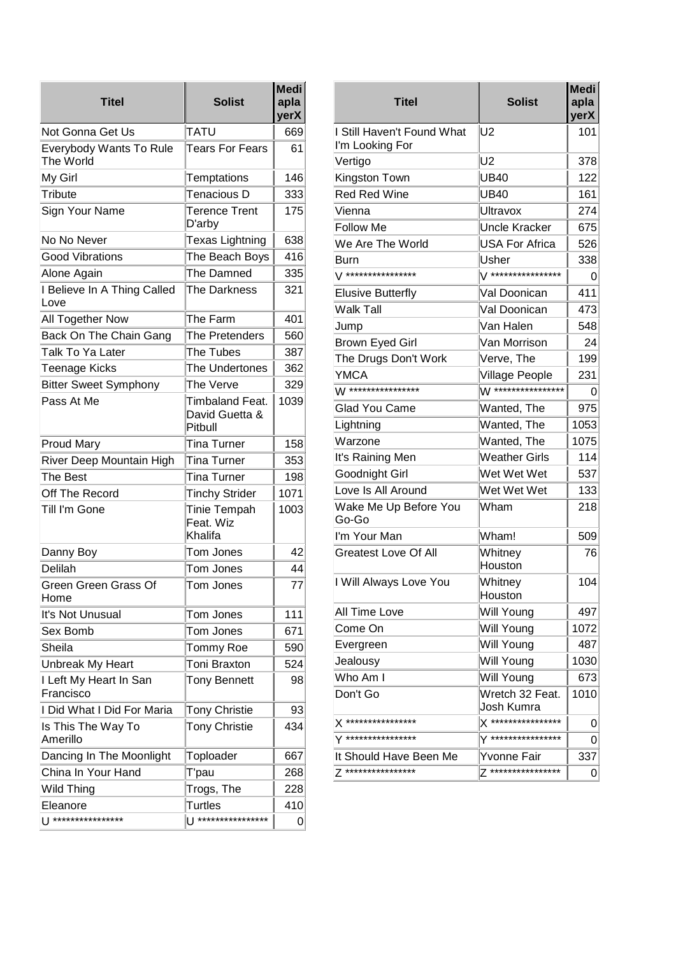| <b>Titel</b>                                | <b>Solist</b>                                | <b>Medi</b><br>apla<br>yerX |
|---------------------------------------------|----------------------------------------------|-----------------------------|
| Not Gonna Get Us                            | TATU                                         | 669                         |
| <b>Everybody Wants To Rule</b><br>The World | <b>Tears For Fears</b>                       | 61                          |
| My Girl                                     | Temptations                                  | 146                         |
| Tribute                                     | Tenacious D                                  | 333                         |
| Sign Your Name                              | Terence Trent<br>D'arby                      | 175                         |
| No No Never                                 | Texas Lightning                              | 638                         |
| <b>Good Vibrations</b>                      | The Beach Boys                               | 416                         |
| Alone Again                                 | The Damned                                   | 335                         |
| I Believe In A Thing Called<br>Love         | The Darkness                                 | 321                         |
| All Together Now                            | The Farm                                     | 401                         |
| Back On The Chain Gang                      | The Pretenders                               | 560                         |
| Talk To Ya Later                            | The Tubes                                    | 387                         |
| Teenage Kicks                               | The Undertones                               | 362                         |
| <b>Bitter Sweet Symphony</b>                | The Verve                                    | 329                         |
| Pass At Me                                  | Timbaland Feat.<br>David Guetta &<br>Pitbull | 1039                        |
| <b>Proud Mary</b>                           | Tina Turner                                  | 158                         |
| River Deep Mountain High                    | Tina Turner                                  | 353                         |
| The Best                                    | Tina Turner                                  | 198                         |
| Off The Record                              | <b>Tinchy Strider</b>                        | 1071                        |
| Till I'm Gone                               | Tinie Tempah<br>Feat. Wiz<br>Khalifa         | 1003                        |
| Danny Boy                                   | Tom Jones                                    | 42                          |
| Delilah                                     | Tom Jones                                    | 44                          |
| Green Green Grass Of<br>Home                | I om Jones                                   | $\prime\prime$              |
| It's Not Unusual                            | Tom Jones                                    | 111                         |
| Sex Bomb                                    | Tom Jones                                    | 671                         |
| Sheila                                      | Tommy Roe                                    | 590                         |
| Unbreak My Heart                            | Toni Braxton                                 | 524                         |
| I Left My Heart In San<br>Francisco         | <b>Tony Bennett</b>                          | 98                          |
| I Did What I Did For Maria                  | <b>Tony Christie</b>                         | 93                          |
| Is This The Way To<br>Amerillo              | <b>Tony Christie</b>                         | 434                         |
| Dancing In The Moonlight                    | Toploader                                    | 667                         |
| China In Your Hand                          | T'pau                                        | 268                         |
| Wild Thing                                  | Trogs, The                                   | 228                         |
| Eleanore                                    | <b>Turtles</b>                               | 410                         |
| $\left  \right.$ *****************          |                                              | 0                           |

| <b>Titel</b>                                  | <b>Solist</b>                 | <b>Medi</b><br>apla<br>yerX |
|-----------------------------------------------|-------------------------------|-----------------------------|
| I Still Haven't Found What<br>I'm Looking For | U2                            | 101                         |
| Vertigo                                       | U2                            | 378                         |
| Kingston Town                                 | <b>UB40</b>                   | 122                         |
| <b>Red Red Wine</b>                           | <b>UB40</b>                   | 161                         |
| Vienna                                        | Ultravox                      | 274                         |
| <b>Follow Me</b>                              | <b>Uncle Kracker</b>          | 675                         |
| We Are The World                              | <b>USA For Africa</b>         | 526                         |
| Burn                                          | Usher                         | 338                         |
| / ****************                            | <i>\/</i> ****************    | O                           |
| <b>Elusive Butterfly</b>                      | Val Doonican                  | 411                         |
| Walk Tall                                     | Val Doonican                  | 473                         |
| Jump                                          | Van Halen                     | 548                         |
| <b>Brown Eyed Girl</b>                        | Van Morrison                  | 24                          |
| The Drugs Don't Work                          | Verve, The                    | 199                         |
| <b>YMCA</b>                                   | <b>Village People</b>         | 231                         |
| W ****************                            | W ****************            | O                           |
| <b>Glad You Came</b>                          | Wanted, The                   | 975                         |
| Lightning                                     | Wanted, The                   | 1053                        |
| Warzone                                       | Wanted, The                   | 1075                        |
| It's Raining Men                              | <b>Weather Girls</b>          | 114                         |
| Goodnight Girl                                | Wet Wet Wet                   | 537                         |
| Love Is All Around                            | Wet Wet Wet                   | 133                         |
| Wake Me Up Before You<br>Go-Go                | Wham                          | 218                         |
| I'm Your Man                                  | Wham!                         | 509                         |
| <b>Greatest Love Of All</b>                   | Whitney<br>Houston            | 76                          |
| I Will Always Love You                        | Whitney<br>Houston            | 104                         |
| All Time Love                                 | Will Young                    | 497                         |
| Come On                                       | Will Young                    | 1072                        |
| Evergreen                                     | Will Young                    | 487                         |
| Jealousy                                      | Will Young                    | 1030                        |
| Who Am I                                      | Will Young                    | 673                         |
| Don't Go                                      | Wretch 32 Feat.<br>Josh Kumra | 1010                        |
| X ****************                            | X ****************            | 0                           |
| ****************                              | ****************              | 0                           |
| It Should Have Been Me                        | Yvonne Fair                   | 337                         |
| Z ****************                            | $7*******************$        | 0                           |